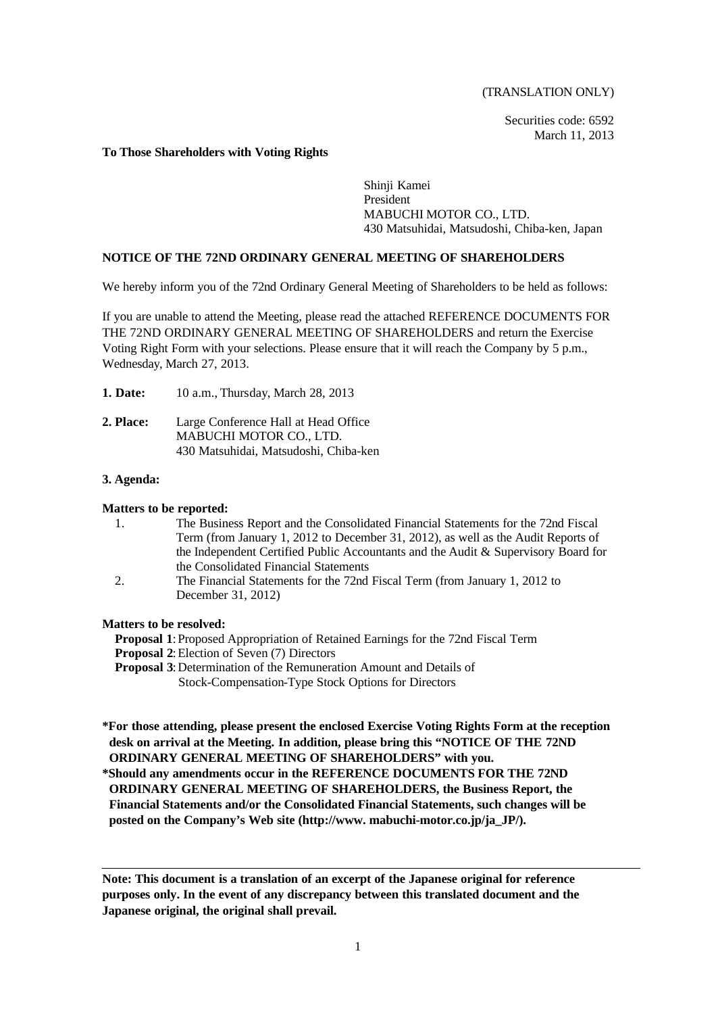(TRANSLATION ONLY)

Securities code: 6592 March 11, 2013

### **To Those Shareholders with Voting Rights**

Shinji Kamei President MABUCHI MOTOR CO., LTD. 430 Matsuhidai, Matsudoshi, Chiba-ken, Japan

# **NOTICE OF THE 72ND ORDINARY GENERAL MEETING OF SHAREHOLDERS**

We hereby inform you of the 72nd Ordinary General Meeting of Shareholders to be held as follows:

If you are unable to attend the Meeting, please read the attached REFERENCE DOCUMENTS FOR THE 72ND ORDINARY GENERAL MEETING OF SHAREHOLDERS and return the Exercise Voting Right Form with your selections. Please ensure that it will reach the Company by 5 p.m., Wednesday, March 27, 2013.

**1. Date:** 10 a.m., Thursday, March 28, 2013

**2. Place:** Large Conference Hall at Head Office MABUCHI MOTOR CO., LTD. 430 Matsuhidai, Matsudoshi, Chiba-ken

### **3. Agenda:**

### **Matters to be reported:**

| 1. | The Business Report and the Consolidated Financial Statements for the 72nd Fiscal  |
|----|------------------------------------------------------------------------------------|
|    | Term (from January 1, 2012 to December 31, 2012), as well as the Audit Reports of  |
|    | the Independent Certified Public Accountants and the Audit & Supervisory Board for |
|    | the Consolidated Financial Statements                                              |
| 2. | The Financial Statements for the 72nd Fiscal Term (from January 1, 2012 to         |
|    | December 31, 2012)                                                                 |

### **Matters to be resolved:**

**Proposal 1**: Proposed Appropriation of Retained Earnings for the 72nd Fiscal Term

- **Proposal 2:** Election of Seven (7) Directors
- **Proposal 3**: Determination of the Remuneration Amount and Details of Stock-Compensation-Type Stock Options for Directors

**\*For those attending, please present the enclosed Exercise Voting Rights Form at the reception desk on arrival at the Meeting. In addition, please bring this "NOTICE OF THE 72ND ORDINARY GENERAL MEETING OF SHAREHOLDERS" with you.**

**\*Should any amendments occur in the REFERENCE DOCUMENTS FOR THE 72ND ORDINARY GENERAL MEETING OF SHAREHOLDERS, the Business Report, the Financial Statements and/or the Consolidated Financial Statements, such changes will be posted on the Company's Web site (http://www. mabuchi-motor.co.jp/ja\_JP/).**

**Note: This document is a translation of an excerpt of the Japanese original for reference purposes only. In the event of any discrepancy between this translated document and the Japanese original, the original shall prevail.**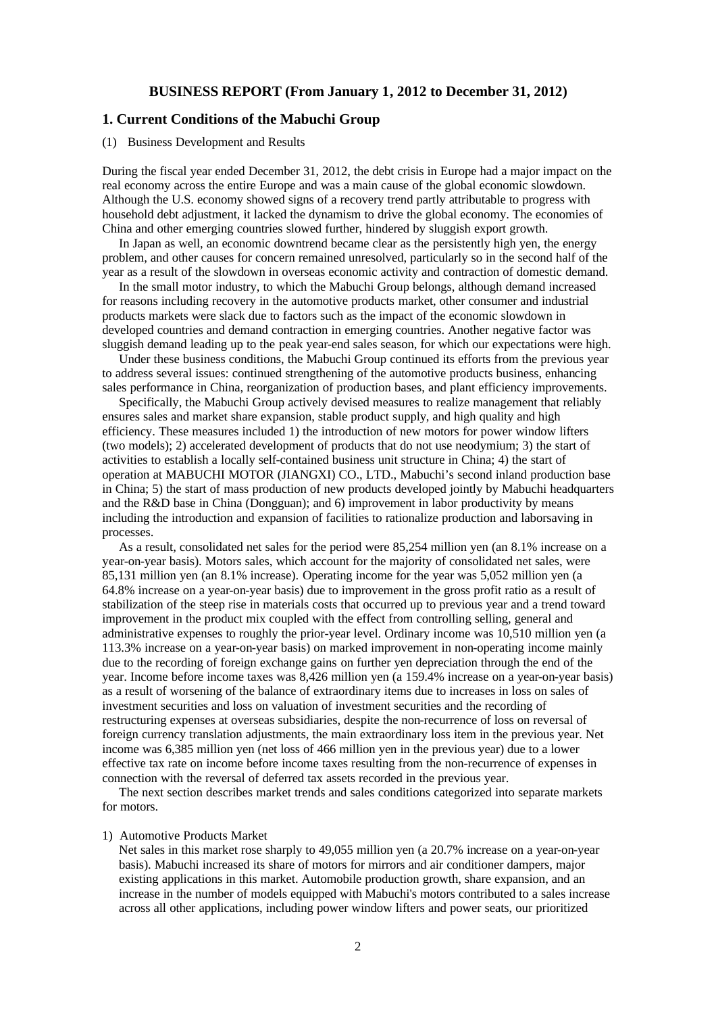## **BUSINESS REPORT (From January 1, 2012 to December 31, 2012)**

# **1. Current Conditions of the Mabuchi Group**

#### (1) Business Development and Results

During the fiscal year ended December 31, 2012, the debt crisis in Europe had a major impact on the real economy across the entire Europe and was a main cause of the global economic slowdown. Although the U.S. economy showed signs of a recovery trend partly attributable to progress with household debt adjustment, it lacked the dynamism to drive the global economy. The economies of China and other emerging countries slowed further, hindered by sluggish export growth.

In Japan as well, an economic downtrend became clear as the persistently high yen, the energy problem, and other causes for concern remained unresolved, particularly so in the second half of the year as a result of the slowdown in overseas economic activity and contraction of domestic demand.

In the small motor industry, to which the Mabuchi Group belongs, although demand increased for reasons including recovery in the automotive products market, other consumer and industrial products markets were slack due to factors such as the impact of the economic slowdown in developed countries and demand contraction in emerging countries. Another negative factor was sluggish demand leading up to the peak year-end sales season, for which our expectations were high.

Under these business conditions, the Mabuchi Group continued its efforts from the previous year to address several issues: continued strengthening of the automotive products business, enhancing sales performance in China, reorganization of production bases, and plant efficiency improvements.

Specifically, the Mabuchi Group actively devised measures to realize management that reliably ensures sales and market share expansion, stable product supply, and high quality and high efficiency. These measures included 1) the introduction of new motors for power window lifters (two models); 2) accelerated development of products that do not use neodymium; 3) the start of activities to establish a locally self-contained business unit structure in China; 4) the start of operation at MABUCHI MOTOR (JIANGXI) CO., LTD., Mabuchi's second inland production base in China; 5) the start of mass production of new products developed jointly by Mabuchi headquarters and the R&D base in China (Dongguan); and 6) improvement in labor productivity by means including the introduction and expansion of facilities to rationalize production and laborsaving in processes.

As a result, consolidated net sales for the period were 85,254 million yen (an 8.1% increase on a year-on-year basis). Motors sales, which account for the majority of consolidated net sales, were 85,131 million yen (an 8.1% increase). Operating income for the year was 5,052 million yen (a 64.8% increase on a year-on-year basis) due to improvement in the gross profit ratio as a result of stabilization of the steep rise in materials costs that occurred up to previous year and a trend toward improvement in the product mix coupled with the effect from controlling selling, general and administrative expenses to roughly the prior-year level. Ordinary income was 10,510 million yen (a 113.3% increase on a year-on-year basis) on marked improvement in non-operating income mainly due to the recording of foreign exchange gains on further yen depreciation through the end of the year. Income before income taxes was 8,426 million yen (a 159.4% increase on a year-on-year basis) as a result of worsening of the balance of extraordinary items due to increases in loss on sales of investment securities and loss on valuation of investment securities and the recording of restructuring expenses at overseas subsidiaries, despite the non-recurrence of loss on reversal of foreign currency translation adjustments, the main extraordinary loss item in the previous year. Net income was 6,385 million yen (net loss of 466 million yen in the previous year) due to a lower effective tax rate on income before income taxes resulting from the non-recurrence of expenses in connection with the reversal of deferred tax assets recorded in the previous year.

The next section describes market trends and sales conditions categorized into separate markets for motors.

### 1) Automotive Products Market

Net sales in this market rose sharply to 49,055 million yen (a 20.7% increase on a year-on-year basis). Mabuchi increased its share of motors for mirrors and air conditioner dampers, major existing applications in this market. Automobile production growth, share expansion, and an increase in the number of models equipped with Mabuchi's motors contributed to a sales increase across all other applications, including power window lifters and power seats, our prioritized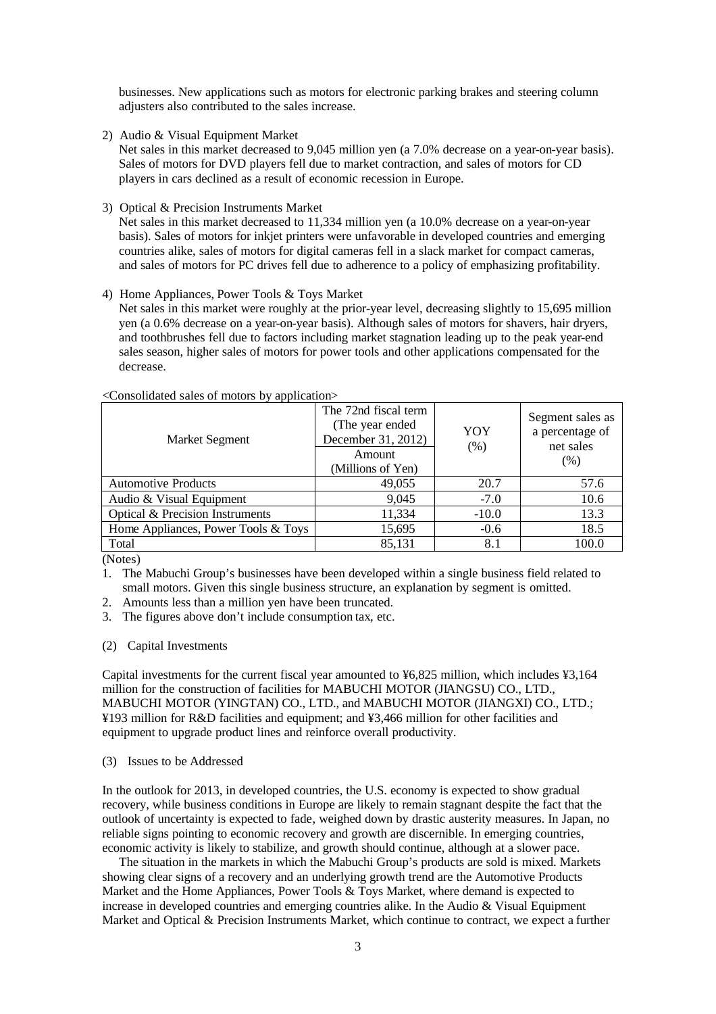businesses. New applications such as motors for electronic parking brakes and steering column adjusters also contributed to the sales increase.

2) Audio & Visual Equipment Market

Net sales in this market decreased to 9,045 million yen (a 7.0% decrease on a year-on-year basis). Sales of motors for DVD players fell due to market contraction, and sales of motors for CD players in cars declined as a result of economic recession in Europe.

3) Optical & Precision Instruments Market

Net sales in this market decreased to 11,334 million yen (a 10.0% decrease on a year-on-year basis). Sales of motors for inkjet printers were unfavorable in developed countries and emerging countries alike, sales of motors for digital cameras fell in a slack market for compact cameras, and sales of motors for PC drives fell due to adherence to a policy of emphasizing profitability.

### 4) Home Appliances, Power Tools & Toys Market

Net sales in this market were roughly at the prior-year level, decreasing slightly to 15,695 million yen (a 0.6% decrease on a year-on-year basis). Although sales of motors for shavers, hair dryers, and toothbrushes fell due to factors including market stagnation leading up to the peak year-end sales season, higher sales of motors for power tools and other applications compensated for the decrease.

| <b>Market Segment</b>               | The 72nd fiscal term<br>(The year ended)<br>December 31, 2012)<br>Amount<br>(Millions of Yen) | YOY<br>(% ) | Segment sales as<br>a percentage of<br>net sales<br>(% ) |
|-------------------------------------|-----------------------------------------------------------------------------------------------|-------------|----------------------------------------------------------|
| <b>Automotive Products</b>          | 49,055                                                                                        | 20.7        | 57.6                                                     |
| Audio & Visual Equipment            | 9,045                                                                                         | $-7.0$      | 10.6                                                     |
| Optical & Precision Instruments     | 11,334                                                                                        | $-10.0$     | 13.3                                                     |
| Home Appliances, Power Tools & Toys | 15,695                                                                                        | $-0.6$      | 18.5                                                     |
| Total                               | 85,131                                                                                        | 8.1         | 100.0                                                    |

<Consolidated sales of motors by application>

(Notes)

1. The Mabuchi Group's businesses have been developed within a single business field related to small motors. Given this single business structure, an explanation by segment is omitted.

- 2. Amounts less than a million yen have been truncated.
- 3. The figures above don't include consumption tax, etc.
- (2) Capital Investments

Capital investments for the current fiscal year amounted to ¥6,825 million, which includes ¥3,164 million for the construction of facilities for MABUCHI MOTOR (JIANGSU) CO., LTD., MABUCHI MOTOR (YINGTAN) CO., LTD., and MABUCHI MOTOR (JIANGXI) CO., LTD.; ¥193 million for R&D facilities and equipment; and ¥3,466 million for other facilities and equipment to upgrade product lines and reinforce overall productivity.

#### (3) Issues to be Addressed

In the outlook for 2013, in developed countries, the U.S. economy is expected to show gradual recovery, while business conditions in Europe are likely to remain stagnant despite the fact that the outlook of uncertainty is expected to fade, weighed down by drastic austerity measures. In Japan, no reliable signs pointing to economic recovery and growth are discernible. In emerging countries, economic activity is likely to stabilize, and growth should continue, although at a slower pace.

The situation in the markets in which the Mabuchi Group's products are sold is mixed. Markets showing clear signs of a recovery and an underlying growth trend are the Automotive Products Market and the Home Appliances, Power Tools & Toys Market, where demand is expected to increase in developed countries and emerging countries alike. In the Audio & Visual Equipment Market and Optical & Precision Instruments Market, which continue to contract, we expect a further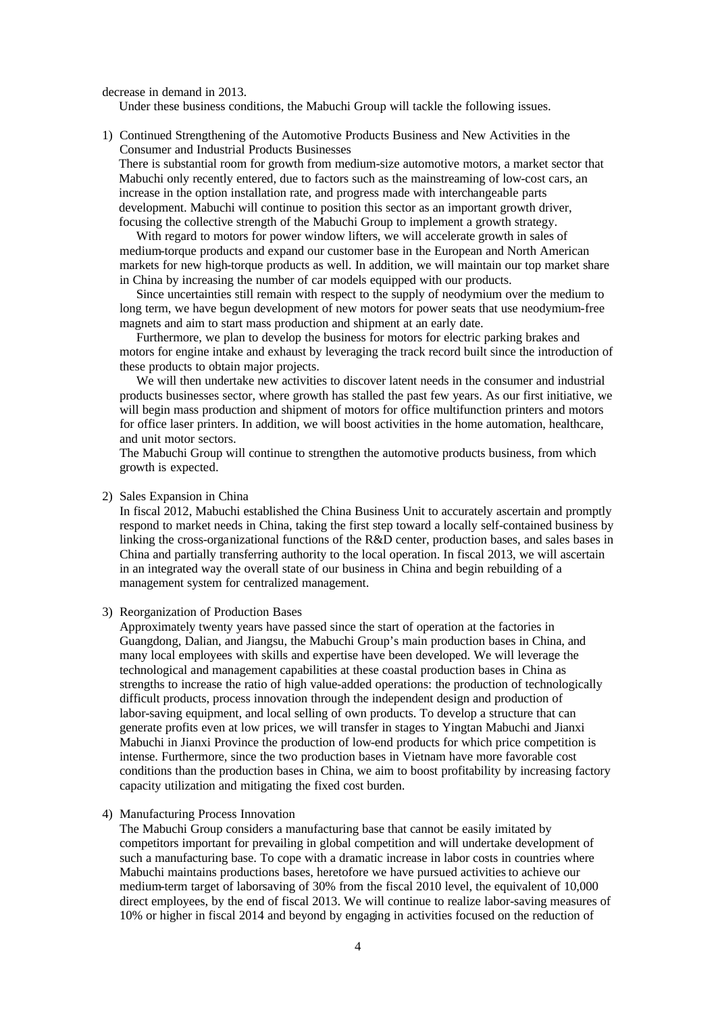decrease in demand in 2013.

Under these business conditions, the Mabuchi Group will tackle the following issues.

1) Continued Strengthening of the Automotive Products Business and New Activities in the Consumer and Industrial Products Businesses

There is substantial room for growth from medium-size automotive motors, a market sector that Mabuchi only recently entered, due to factors such as the mainstreaming of low-cost cars, an increase in the option installation rate, and progress made with interchangeable parts development. Mabuchi will continue to position this sector as an important growth driver, focusing the collective strength of the Mabuchi Group to implement a growth strategy.

With regard to motors for power window lifters, we will accelerate growth in sales of medium-torque products and expand our customer base in the European and North American markets for new high-torque products as well. In addition, we will maintain our top market share in China by increasing the number of car models equipped with our products.

Since uncertainties still remain with respect to the supply of neodymium over the medium to long term, we have begun development of new motors for power seats that use neodymium-free magnets and aim to start mass production and shipment at an early date.

Furthermore, we plan to develop the business for motors for electric parking brakes and motors for engine intake and exhaust by leveraging the track record built since the introduction of these products to obtain major projects.

We will then undertake new activities to discover latent needs in the consumer and industrial products businesses sector, where growth has stalled the past few years. As our first initiative, we will begin mass production and shipment of motors for office multifunction printers and motors for office laser printers. In addition, we will boost activities in the home automation, healthcare, and unit motor sectors.

The Mabuchi Group will continue to strengthen the automotive products business, from which growth is expected.

#### 2) Sales Expansion in China

In fiscal 2012, Mabuchi established the China Business Unit to accurately ascertain and promptly respond to market needs in China, taking the first step toward a locally self-contained business by linking the cross-organizational functions of the R&D center, production bases, and sales bases in China and partially transferring authority to the local operation. In fiscal 2013, we will ascertain in an integrated way the overall state of our business in China and begin rebuilding of a management system for centralized management.

#### 3) Reorganization of Production Bases

Approximately twenty years have passed since the start of operation at the factories in Guangdong, Dalian, and Jiangsu, the Mabuchi Group's main production bases in China, and many local employees with skills and expertise have been developed. We will leverage the technological and management capabilities at these coastal production bases in China as strengths to increase the ratio of high value-added operations: the production of technologically difficult products, process innovation through the independent design and production of labor-saving equipment, and local selling of own products. To develop a structure that can generate profits even at low prices, we will transfer in stages to Yingtan Mabuchi and Jianxi Mabuchi in Jianxi Province the production of low-end products for which price competition is intense. Furthermore, since the two production bases in Vietnam have more favorable cost conditions than the production bases in China, we aim to boost profitability by increasing factory capacity utilization and mitigating the fixed cost burden.

#### 4) Manufacturing Process Innovation

The Mabuchi Group considers a manufacturing base that cannot be easily imitated by competitors important for prevailing in global competition and will undertake development of such a manufacturing base. To cope with a dramatic increase in labor costs in countries where Mabuchi maintains productions bases, heretofore we have pursued activities to achieve our medium-term target of laborsaving of 30% from the fiscal 2010 level, the equivalent of 10,000 direct employees, by the end of fiscal 2013. We will continue to realize labor-saving measures of 10% or higher in fiscal 2014 and beyond by engaging in activities focused on the reduction of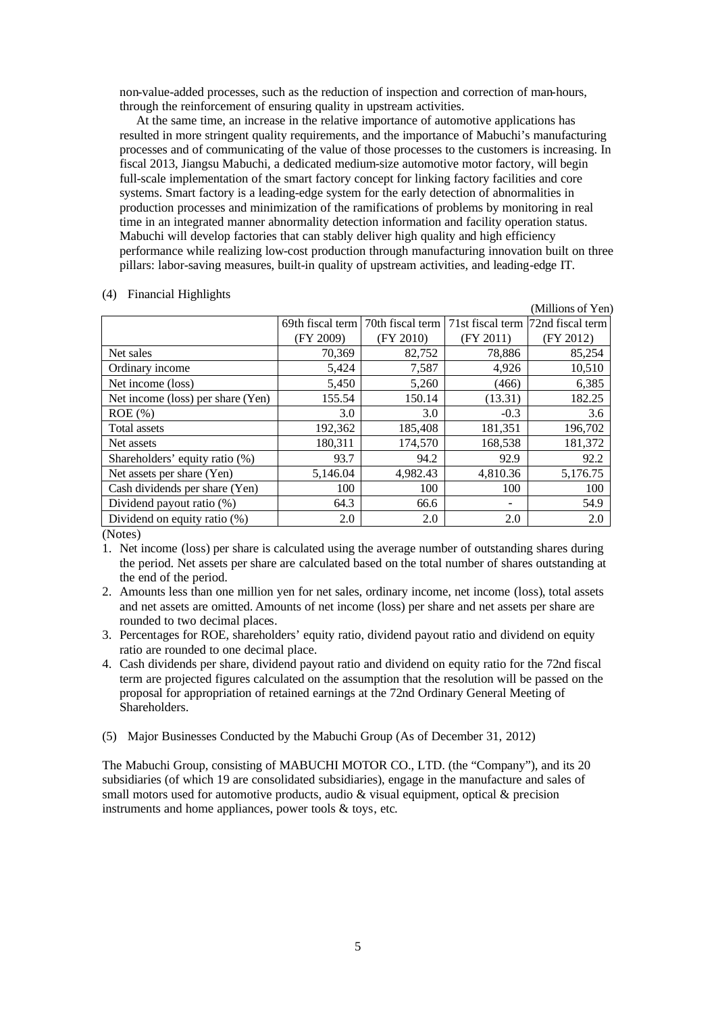non-value-added processes, such as the reduction of inspection and correction of man-hours, through the reinforcement of ensuring quality in upstream activities.

At the same time, an increase in the relative importance of automotive applications has resulted in more stringent quality requirements, and the importance of Mabuchi's manufacturing processes and of communicating of the value of those processes to the customers is increasing. In fiscal 2013, Jiangsu Mabuchi, a dedicated medium-size automotive motor factory, will begin full-scale implementation of the smart factory concept for linking factory facilities and core systems. Smart factory is a leading-edge system for the early detection of abnormalities in production processes and minimization of the ramifications of problems by monitoring in real time in an integrated manner abnormality detection information and facility operation status. Mabuchi will develop factories that can stably deliver high quality and high efficiency performance while realizing low-cost production through manufacturing innovation built on three pillars: labor-saving measures, built-in quality of upstream activities, and leading-edge IT.

|                                   |                  |                  |           | (Millions of Yen)                   |
|-----------------------------------|------------------|------------------|-----------|-------------------------------------|
|                                   | 69th fiscal term | 70th fiscal term |           | 71st fiscal term [72nd fiscal term] |
|                                   | (FY 2009)        | (FY 2010)        | (FY 2011) | (FY 2012)                           |
| Net sales                         | 70,369           | 82,752           | 78,886    | 85,254                              |
| Ordinary income                   | 5,424            | 7,587            | 4,926     | 10,510                              |
| Net income (loss)                 | 5,450            | 5,260            | (466)     | 6,385                               |
| Net income (loss) per share (Yen) | 155.54           | 150.14           | (13.31)   | 182.25                              |
| $ROE$ (%)                         | 3.0              | 3.0              | $-0.3$    | 3.6                                 |
| <b>Total assets</b>               | 192,362          | 185,408          | 181,351   | 196,702                             |
| Net assets                        | 180,311          | 174,570          | 168,538   | 181,372                             |
| Shareholders' equity ratio (%)    | 93.7             | 94.2             | 92.9      | 92.2                                |
| Net assets per share (Yen)        | 5,146.04         | 4,982.43         | 4,810.36  | 5,176.75                            |
| Cash dividends per share (Yen)    | 100              | 100              | 100       | 100                                 |
| Dividend payout ratio $(\%)$      | 64.3             | 66.6             |           | 54.9                                |
| Dividend on equity ratio $(\%)$   | 2.0              | 2.0              | 2.0       | 2.0                                 |

#### (4) Financial Highlights

(Notes)

- 1. Net income (loss) per share is calculated using the average number of outstanding shares during the period. Net assets per share are calculated based on the total number of shares outstanding at the end of the period.
- 2. Amounts less than one million yen for net sales, ordinary income, net income (loss), total assets and net assets are omitted. Amounts of net income (loss) per share and net assets per share are rounded to two decimal places.
- 3. Percentages for ROE, shareholders' equity ratio, dividend payout ratio and dividend on equity ratio are rounded to one decimal place.
- 4. Cash dividends per share, dividend payout ratio and dividend on equity ratio for the 72nd fiscal term are projected figures calculated on the assumption that the resolution will be passed on the proposal for appropriation of retained earnings at the 72nd Ordinary General Meeting of Shareholders<sup>1</sup>
- (5) Major Businesses Conducted by the Mabuchi Group (As of December 31, 2012)

The Mabuchi Group, consisting of MABUCHI MOTOR CO., LTD. (the "Company"), and its 20 subsidiaries (of which 19 are consolidated subsidiaries), engage in the manufacture and sales of small motors used for automotive products, audio  $\&$  visual equipment, optical  $\&$  precision instruments and home appliances, power tools & toys, etc.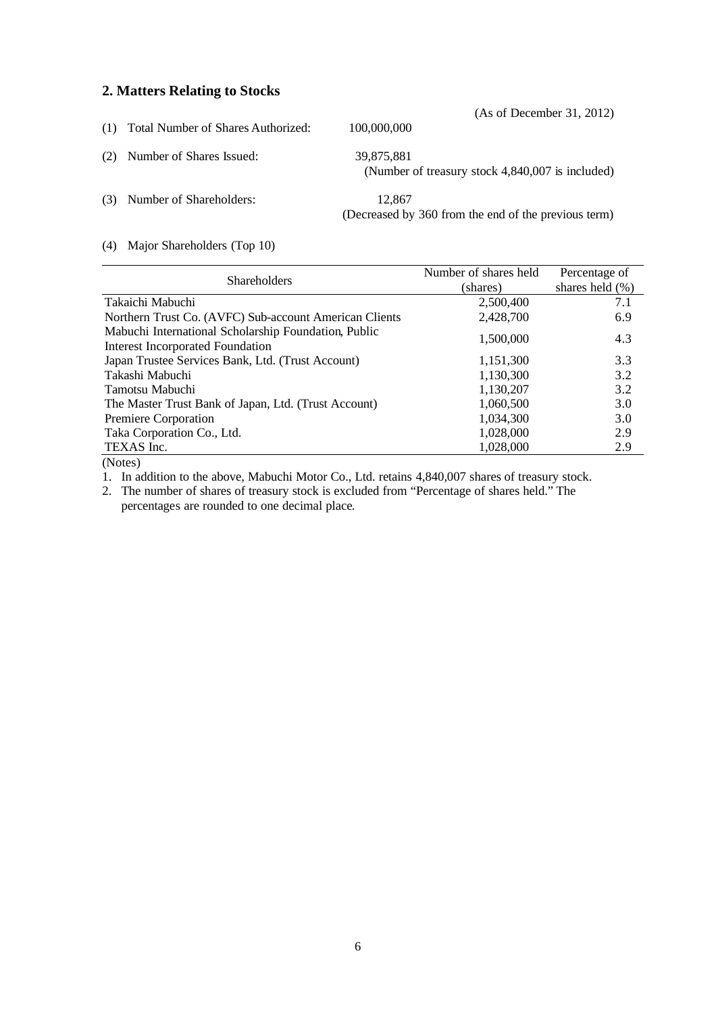# **2. Matters Relating to Stocks**

|     | (1) Total Number of Shares Authorized: | (As of December 31, 2012)<br>100,000,000                       |
|-----|----------------------------------------|----------------------------------------------------------------|
| (2) | Number of Shares Issued:               | 39.875.881<br>(Number of treasury stock 4,840,007 is included) |
| (3) | Number of Shareholders:                | 12.867<br>(Decreased by 360 from the end of the previous term) |

# (4) Major Shareholders (Top 10)

|                                                                                                 | Number of shares held | Percentage of       |
|-------------------------------------------------------------------------------------------------|-----------------------|---------------------|
| <b>Shareholders</b>                                                                             | (shares)              | shares held $(\% )$ |
| Takaichi Mabuchi                                                                                | 2,500,400             | 7.1                 |
| Northern Trust Co. (AVFC) Sub-account American Clients                                          | 2,428,700             | 6.9                 |
| Mabuchi International Scholarship Foundation, Public<br><b>Interest Incorporated Foundation</b> | 1,500,000             | 4.3                 |
| Japan Trustee Services Bank, Ltd. (Trust Account)                                               | 1,151,300             | 3.3                 |
| Takashi Mabuchi                                                                                 | 1,130,300             | 3.2                 |
| Tamotsu Mabuchi                                                                                 | 1,130,207             | 3.2                 |
| The Master Trust Bank of Japan, Ltd. (Trust Account)                                            | 1,060,500             | 3.0                 |
| Premiere Corporation                                                                            | 1,034,300             | 3.0                 |
| Taka Corporation Co., Ltd.                                                                      | 1,028,000             | 2.9                 |
| TEXAS Inc.                                                                                      | 1,028,000             | 2.9                 |
| $\sqrt{2}$                                                                                      |                       |                     |

(Notes)

1. In addition to the above, Mabuchi Motor Co., Ltd. retains 4,840,007 shares of treasury stock.

2. The number of shares of treasury stock is excluded from "Percentage of shares held." The percentages are rounded to one decimal place.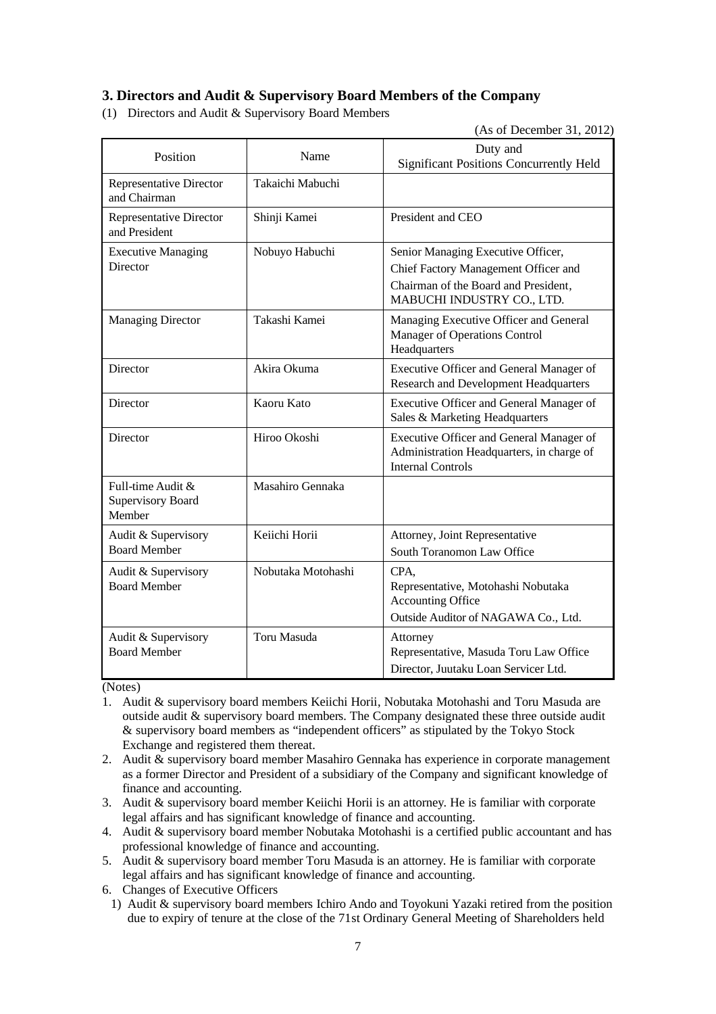# **3. Directors and Audit & Supervisory Board Members of the Company**

(1) Directors and Audit & Supervisory Board Members

(As of December 31, 2012)

| Position                                         | Name               | Duty and<br><b>Significant Positions Concurrently Held</b>                                                                                       |  |  |
|--------------------------------------------------|--------------------|--------------------------------------------------------------------------------------------------------------------------------------------------|--|--|
| <b>Representative Director</b><br>and Chairman   | Takaichi Mabuchi   |                                                                                                                                                  |  |  |
| <b>Representative Director</b><br>and President  | Shinji Kamei       | President and CEO                                                                                                                                |  |  |
| <b>Executive Managing</b><br>Director            | Nobuyo Habuchi     | Senior Managing Executive Officer,<br>Chief Factory Management Officer and<br>Chairman of the Board and President,<br>MABUCHI INDUSTRY CO., LTD. |  |  |
| <b>Managing Director</b>                         | Takashi Kamei      | Managing Executive Officer and General<br>Manager of Operations Control<br>Headquarters                                                          |  |  |
| Director                                         | Akira Okuma        | Executive Officer and General Manager of<br>Research and Development Headquarters                                                                |  |  |
| Director                                         | Kaoru Kato         | Executive Officer and General Manager of<br>Sales & Marketing Headquarters                                                                       |  |  |
| Director                                         | Hiroo Okoshi       | Executive Officer and General Manager of<br>Administration Headquarters, in charge of<br><b>Internal Controls</b>                                |  |  |
| Full-time Audit &<br>Supervisory Board<br>Member | Masahiro Gennaka   |                                                                                                                                                  |  |  |
| Audit & Supervisory<br><b>Board Member</b>       | Keiichi Horii      | Attorney, Joint Representative<br>South Toranomon Law Office                                                                                     |  |  |
| Audit & Supervisory<br><b>Board Member</b>       | Nobutaka Motohashi | CPA.<br>Representative, Motohashi Nobutaka<br><b>Accounting Office</b><br>Outside Auditor of NAGAWA Co., Ltd.                                    |  |  |
| Audit & Supervisory<br><b>Board Member</b>       | Toru Masuda        | Attorney<br>Representative, Masuda Toru Law Office<br>Director, Juutaku Loan Servicer Ltd.                                                       |  |  |

(Notes)

- 1. Audit & supervisory board members Keiichi Horii, Nobutaka Motohashi and Toru Masuda are outside audit & supervisory board members. The Company designated these three outside audit & supervisory board members as "independent officers" as stipulated by the Tokyo Stock Exchange and registered them thereat.
- 2. Audit & supervisory board member Masahiro Gennaka has experience in corporate management as a former Director and President of a subsidiary of the Company and significant knowledge of finance and accounting.
- 3. Audit & supervisory board member Keiichi Horii is an attorney. He is familiar with corporate legal affairs and has significant knowledge of finance and accounting.
- 4. Audit & supervisory board member Nobutaka Motohashi is a certified public accountant and has professional knowledge of finance and accounting.
- 5. Audit & supervisory board member Toru Masuda is an attorney. He is familiar with corporate legal affairs and has significant knowledge of finance and accounting.
- 6. Changes of Executive Officers
- 1) Audit & supervisory board members Ichiro Ando and Toyokuni Yazaki retired from the position due to expiry of tenure at the close of the 71st Ordinary General Meeting of Shareholders held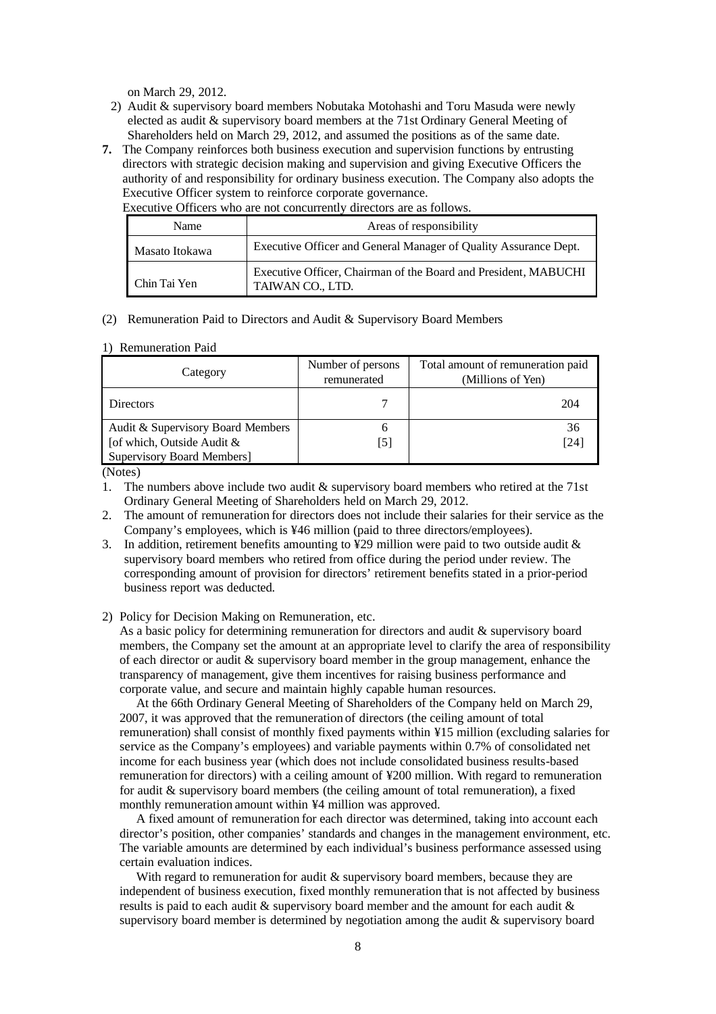on March 29, 2012.

- 2) Audit & supervisory board members Nobutaka Motohashi and Toru Masuda were newly elected as audit & supervisory board members at the 71st Ordinary General Meeting of Shareholders held on March 29, 2012, and assumed the positions as of the same date.
- **7.** The Company reinforces both business execution and supervision functions by entrusting directors with strategic decision making and supervision and giving Executive Officers the authority of and responsibility for ordinary business execution. The Company also adopts the Executive Officer system to reinforce corporate governance.

Executive Officers who are not concurrently directors are as follows.

| Name           | Areas of responsibility                                                             |  |  |
|----------------|-------------------------------------------------------------------------------------|--|--|
| Masato Itokawa | Executive Officer and General Manager of Quality Assurance Dept.                    |  |  |
| Chin Tai Yen   | Executive Officer, Chairman of the Board and President, MABUCHI<br>TAIWAN CO., LTD. |  |  |

(2) Remuneration Paid to Directors and Audit & Supervisory Board Members

#### 1) Remuneration Paid

| Category                                                                                             | Number of persons<br>remunerated | Total amount of remuneration paid<br>(Millions of Yen) |  |
|------------------------------------------------------------------------------------------------------|----------------------------------|--------------------------------------------------------|--|
| Directors                                                                                            |                                  | 204                                                    |  |
| Audit & Supervisory Board Members<br>[of which, Outside Audit &<br><b>Supervisory Board Members]</b> | n<br>15 I                        | 36<br>[24]                                             |  |

(Notes)

- 1. The numbers above include two audit & supervisory board members who retired at the 71st Ordinary General Meeting of Shareholders held on March 29, 2012.
- 2. The amount of remuneration for directors does not include their salaries for their service as the Company's employees, which is ¥46 million (paid to three directors/employees).
- 3. In addition, retirement benefits amounting to  $\angle 29$  million were paid to two outside audit  $\&$ supervisory board members who retired from office during the period under review. The corresponding amount of provision for directors' retirement benefits stated in a prior-period business report was deducted.
- 2) Policy for Decision Making on Remuneration, etc.

As a basic policy for determining remuneration for directors and audit & supervisory board members, the Company set the amount at an appropriate level to clarify the area of responsibility of each director or audit & supervisory board member in the group management, enhance the transparency of management, give them incentives for raising business performance and corporate value, and secure and maintain highly capable human resources.

At the 66th Ordinary General Meeting of Shareholders of the Company held on March 29, 2007, it was approved that the remuneration of directors (the ceiling amount of total remuneration) shall consist of monthly fixed payments within ¥15 million (excluding salaries for service as the Company's employees) and variable payments within 0.7% of consolidated net income for each business year (which does not include consolidated business results-based remuneration for directors) with a ceiling amount of ¥200 million. With regard to remuneration for audit & supervisory board members (the ceiling amount of total remuneration), a fixed monthly remuneration amount within ¥4 million was approved.

A fixed amount of remuneration for each director was determined, taking into account each director's position, other companies' standards and changes in the management environment, etc. The variable amounts are determined by each individual's business performance assessed using certain evaluation indices.

With regard to remuneration for audit  $\&$  supervisory board members, because they are independent of business execution, fixed monthly remuneration that is not affected by business results is paid to each audit & supervisory board member and the amount for each audit & supervisory board member is determined by negotiation among the audit  $\&$  supervisory board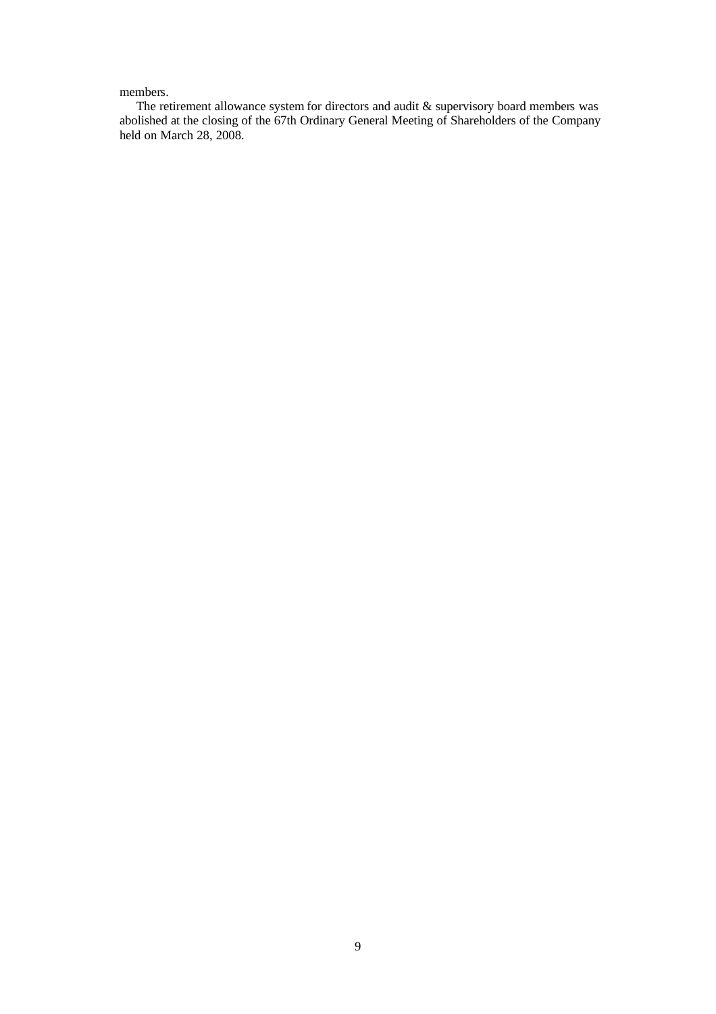# members.

The retirement allowance system for directors and audit & supervisory board members was abolished at the closing of the 67th Ordinary General Meeting of Shareholders of the Company held on March 28, 2008.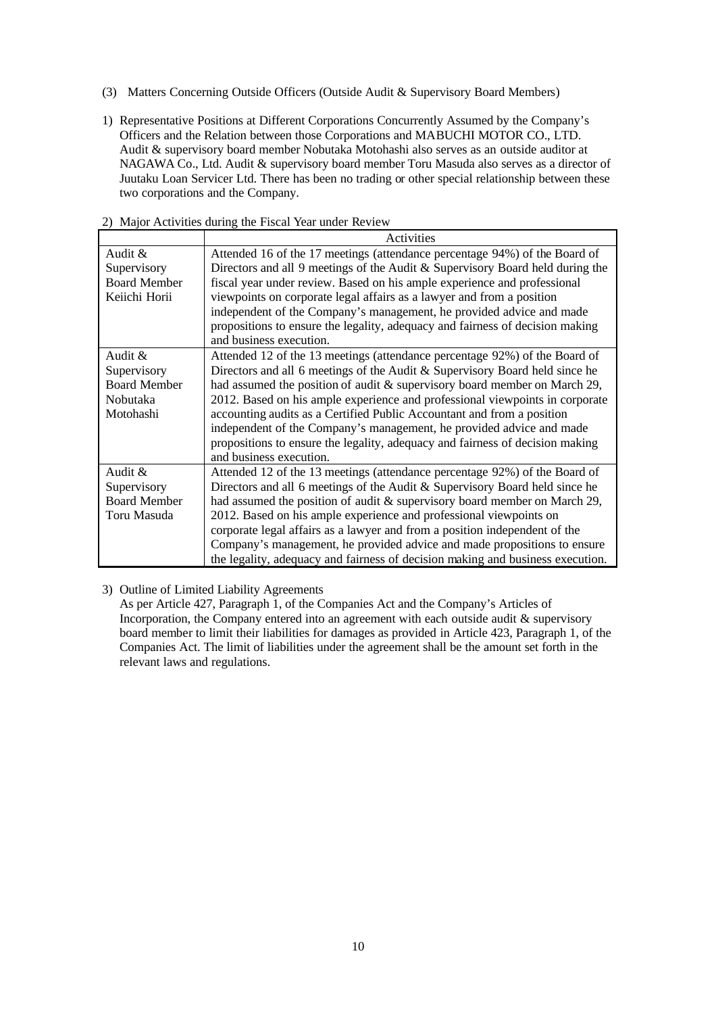- (3) Matters Concerning Outside Officers (Outside Audit & Supervisory Board Members)
- 1) Representative Positions at Different Corporations Concurrently Assumed by the Company's Officers and the Relation between those Corporations and MABUCHI MOTOR CO., LTD. Audit & supervisory board member Nobutaka Motohashi also serves as an outside auditor at NAGAWA Co., Ltd. Audit & supervisory board member Toru Masuda also serves as a director of Juutaku Loan Servicer Ltd. There has been no trading or other special relationship between these two corporations and the Company.

|                                                                                                  | <b>Activities</b>                                                              |  |  |
|--------------------------------------------------------------------------------------------------|--------------------------------------------------------------------------------|--|--|
| Audit &                                                                                          | Attended 16 of the 17 meetings (attendance percentage 94%) of the Board of     |  |  |
| Supervisory                                                                                      | Directors and all 9 meetings of the Audit & Supervisory Board held during the  |  |  |
| <b>Board Member</b>                                                                              | fiscal year under review. Based on his ample experience and professional       |  |  |
| Keiichi Horii                                                                                    | viewpoints on corporate legal affairs as a lawyer and from a position          |  |  |
|                                                                                                  | independent of the Company's management, he provided advice and made           |  |  |
|                                                                                                  | propositions to ensure the legality, adequacy and fairness of decision making  |  |  |
|                                                                                                  | and business execution.                                                        |  |  |
| Audit &                                                                                          | Attended 12 of the 13 meetings (attendance percentage 92%) of the Board of     |  |  |
| Supervisory                                                                                      | Directors and all 6 meetings of the Audit & Supervisory Board held since he    |  |  |
| <b>Board Member</b><br>had assumed the position of audit & supervisory board member on March 29, |                                                                                |  |  |
| 2012. Based on his ample experience and professional viewpoints in corporate<br>Nobutaka         |                                                                                |  |  |
| Motohashi                                                                                        | accounting audits as a Certified Public Accountant and from a position         |  |  |
| independent of the Company's management, he provided advice and made                             |                                                                                |  |  |
|                                                                                                  | propositions to ensure the legality, adequacy and fairness of decision making  |  |  |
|                                                                                                  | and business execution.                                                        |  |  |
| Audit &                                                                                          | Attended 12 of the 13 meetings (attendance percentage 92%) of the Board of     |  |  |
| Supervisory                                                                                      | Directors and all 6 meetings of the Audit & Supervisory Board held since he    |  |  |
| <b>Board Member</b>                                                                              | had assumed the position of audit $&$ supervisory board member on March 29,    |  |  |
| Toru Masuda                                                                                      | 2012. Based on his ample experience and professional viewpoints on             |  |  |
|                                                                                                  | corporate legal affairs as a lawyer and from a position independent of the     |  |  |
|                                                                                                  | Company's management, he provided advice and made propositions to ensure       |  |  |
|                                                                                                  | the legality, adequacy and fairness of decision making and business execution. |  |  |

#### 2) Major Activities during the Fiscal Year under Review

3) Outline of Limited Liability Agreements

As per Article 427, Paragraph 1, of the Companies Act and the Company's Articles of Incorporation, the Company entered into an agreement with each outside audit & supervisory board member to limit their liabilities for damages as provided in Article 423, Paragraph 1, of the Companies Act. The limit of liabilities under the agreement shall be the amount set forth in the relevant laws and regulations.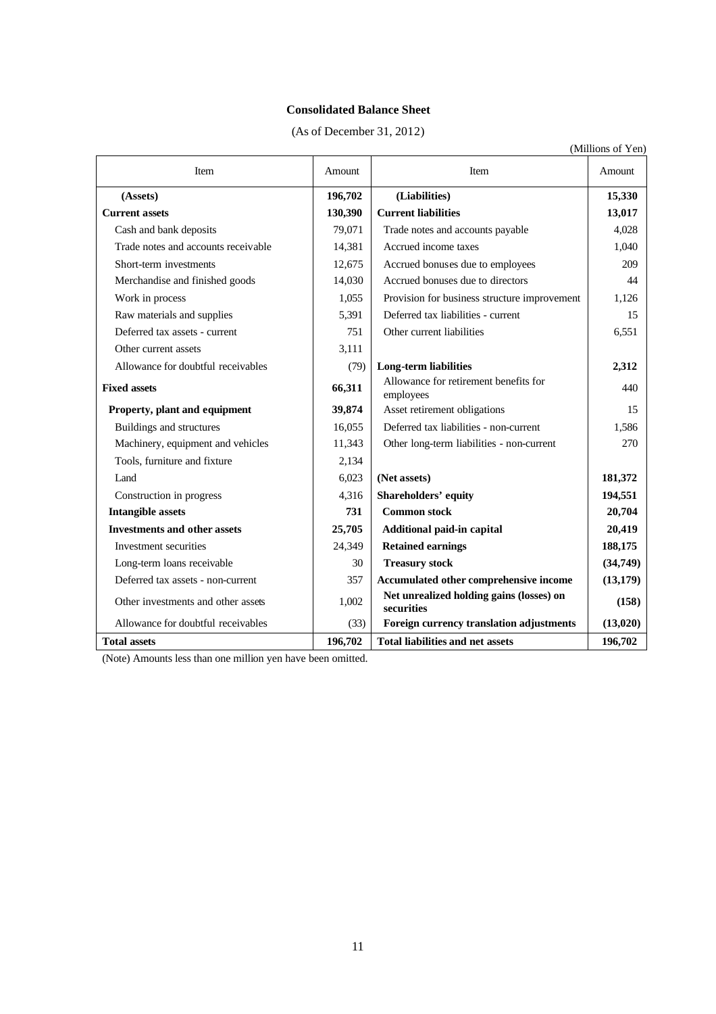# **Consolidated Balance Sheet**

(As of December 31, 2012)

| (Millions of Yen)                   |         |                                                        |           |  |
|-------------------------------------|---------|--------------------------------------------------------|-----------|--|
| Item                                | Amount  | Item                                                   | Amount    |  |
| (Assets)                            | 196,702 | (Liabilities)                                          | 15,330    |  |
| <b>Current assets</b>               | 130,390 | <b>Current liabilities</b>                             | 13,017    |  |
| Cash and bank deposits              | 79,071  | Trade notes and accounts payable                       | 4,028     |  |
| Trade notes and accounts receivable | 14,381  | Accrued income taxes                                   | 1,040     |  |
| Short-term investments              | 12,675  | Accrued bonuses due to employees                       | 209       |  |
| Merchandise and finished goods      | 14,030  | Accrued bonuses due to directors                       | 44        |  |
| Work in process                     | 1,055   | Provision for business structure improvement           | 1,126     |  |
| Raw materials and supplies          | 5,391   | Deferred tax liabilities - current                     | 15        |  |
| Deferred tax assets - current       | 751     | Other current liabilities                              | 6,551     |  |
| Other current assets                | 3,111   |                                                        |           |  |
| Allowance for doubtful receivables  | (79)    | <b>Long-term liabilities</b>                           | 2,312     |  |
| <b>Fixed assets</b>                 | 66,311  | Allowance for retirement benefits for<br>employees     | 440       |  |
| Property, plant and equipment       | 39,874  | Asset retirement obligations                           | 15        |  |
| Buildings and structures            | 16,055  | Deferred tax liabilities - non-current                 | 1,586     |  |
| Machinery, equipment and vehicles   | 11,343  | Other long-term liabilities - non-current              | 270       |  |
| Tools, furniture and fixture        | 2,134   |                                                        |           |  |
| Land                                | 6,023   | (Net assets)                                           | 181,372   |  |
| Construction in progress            | 4,316   | <b>Shareholders' equity</b>                            | 194,551   |  |
| <b>Intangible assets</b>            | 731     | <b>Common stock</b>                                    | 20,704    |  |
| <b>Investments and other assets</b> | 25,705  | Additional paid-in capital                             | 20,419    |  |
| Investment securities               | 24,349  | <b>Retained earnings</b>                               | 188,175   |  |
| Long-term loans receivable          | 30      | <b>Treasury stock</b>                                  | (34, 749) |  |
| Deferred tax assets - non-current   | 357     | Accumulated other comprehensive income                 | (13, 179) |  |
| Other investments and other assets  | 1,002   | Net unrealized holding gains (losses) on<br>securities | (158)     |  |
| Allowance for doubtful receivables  | (33)    | Foreign currency translation adjustments               | (13, 020) |  |
| <b>Total assets</b>                 | 196,702 | <b>Total liabilities and net assets</b>                | 196,702   |  |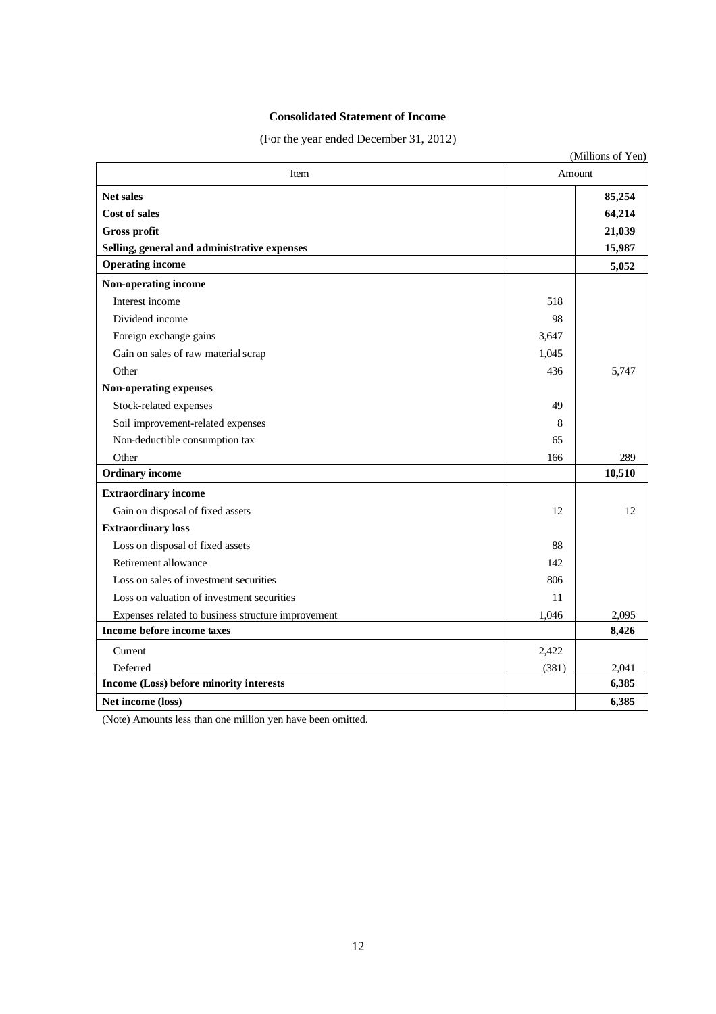# **Consolidated Statement of Income**

(For the year ended December 31, 2012)

|                                                    |        | (Millions of Yen) |
|----------------------------------------------------|--------|-------------------|
| Item                                               | Amount |                   |
| <b>Net sales</b>                                   |        | 85,254            |
| <b>Cost of sales</b>                               |        | 64,214            |
| Gross profit                                       |        | 21,039            |
| Selling, general and administrative expenses       |        | 15,987            |
| <b>Operating income</b>                            |        | 5,052             |
| Non-operating income                               |        |                   |
| Interest income                                    | 518    |                   |
| Dividend income                                    | 98     |                   |
| Foreign exchange gains                             | 3,647  |                   |
| Gain on sales of raw material scrap                | 1,045  |                   |
| Other                                              | 436    | 5,747             |
| Non-operating expenses                             |        |                   |
| Stock-related expenses                             | 49     |                   |
| Soil improvement-related expenses                  | 8      |                   |
| Non-deductible consumption tax                     | 65     |                   |
| Other                                              | 166    | 289               |
| <b>Ordinary income</b>                             |        | 10,510            |
| <b>Extraordinary income</b>                        |        |                   |
| Gain on disposal of fixed assets                   | 12     | 12                |
| <b>Extraordinary loss</b>                          |        |                   |
| Loss on disposal of fixed assets                   | 88     |                   |
| Retirement allowance                               | 142    |                   |
| Loss on sales of investment securities             | 806    |                   |
| Loss on valuation of investment securities         | 11     |                   |
| Expenses related to business structure improvement | 1,046  | 2,095             |
| Income before income taxes                         |        | 8,426             |
| Current                                            | 2,422  |                   |
| Deferred                                           | (381)  | 2,041             |
| Income (Loss) before minority interests            |        | 6,385             |
| Net income (loss)                                  |        | 6,385             |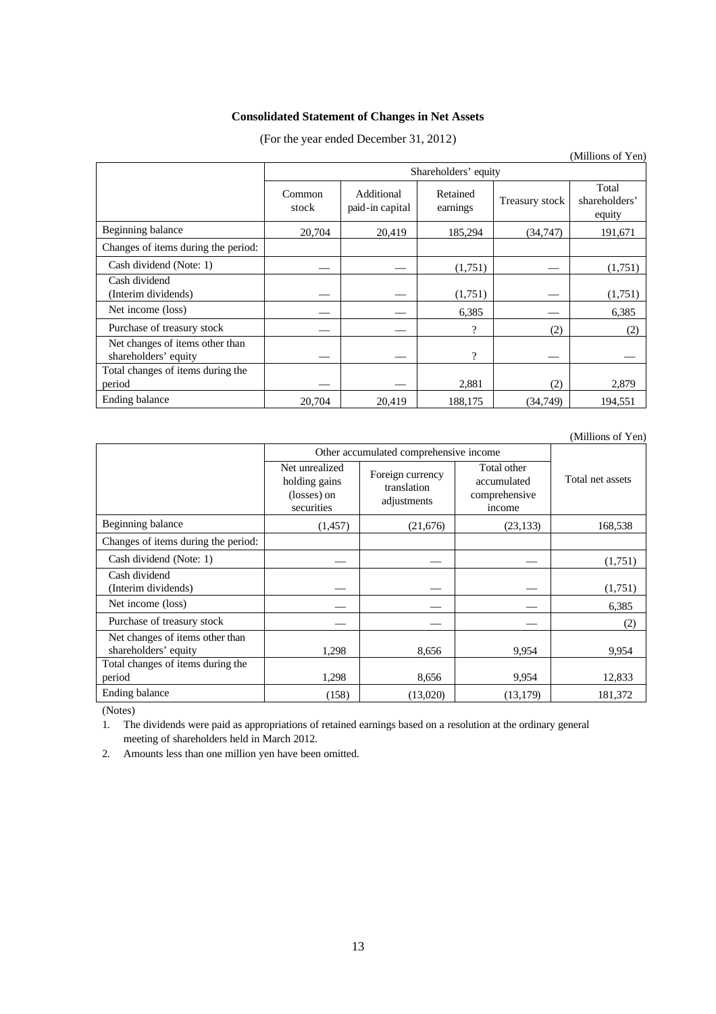# **Consolidated Statement of Changes in Net Assets**

## (For the year ended December 31, 2012)

|                                                         |                      |                               |                      |                | (Millions of Yen)                |
|---------------------------------------------------------|----------------------|-------------------------------|----------------------|----------------|----------------------------------|
|                                                         | Shareholders' equity |                               |                      |                |                                  |
|                                                         | Common<br>stock      | Additional<br>paid-in capital | Retained<br>earnings | Treasury stock | Total<br>shareholders'<br>equity |
| Beginning balance                                       | 20,704               | 20,419                        | 185,294              | (34, 747)      | 191,671                          |
| Changes of items during the period:                     |                      |                               |                      |                |                                  |
| Cash dividend (Note: 1)                                 |                      |                               | (1,751)              |                | (1,751)                          |
| Cash dividend<br>(Interim dividends)                    |                      |                               | (1,751)              |                | (1,751)                          |
| Net income (loss)                                       |                      |                               | 6,385                |                | 6,385                            |
| Purchase of treasury stock                              |                      |                               | $\mathcal{P}$        | (2)            | (2)                              |
| Net changes of items other than<br>shareholders' equity |                      |                               | $\gamma$             |                |                                  |
| Total changes of items during the<br>period             |                      |                               | 2,881                | (2)            | 2,879                            |
| Ending balance                                          | 20,704               | 20,419                        | 188,175              | (34,749)       | 194,551                          |

(Millions of Yen)

|                                                         | Other accumulated comprehensive income                       |                                                |                                                       |                  |
|---------------------------------------------------------|--------------------------------------------------------------|------------------------------------------------|-------------------------------------------------------|------------------|
|                                                         | Net unrealized<br>holding gains<br>(losses) on<br>securities | Foreign currency<br>translation<br>adjustments | Total other<br>accumulated<br>comprehensive<br>income | Total net assets |
| Beginning balance                                       | (1, 457)                                                     | (21,676)                                       | (23, 133)                                             | 168,538          |
| Changes of items during the period:                     |                                                              |                                                |                                                       |                  |
| Cash dividend (Note: 1)                                 |                                                              |                                                |                                                       | (1,751)          |
| Cash dividend<br>(Interim dividends)                    |                                                              |                                                |                                                       | (1,751)          |
| Net income (loss)                                       |                                                              |                                                |                                                       | 6,385            |
| Purchase of treasury stock                              |                                                              |                                                |                                                       | (2)              |
| Net changes of items other than<br>shareholders' equity | 1,298                                                        | 8,656                                          | 9.954                                                 | 9,954            |
| Total changes of items during the                       |                                                              |                                                |                                                       |                  |
| period                                                  | 1,298                                                        | 8,656                                          | 9,954                                                 | 12,833           |
| Ending balance                                          | (158)                                                        | (13,020)                                       | (13, 179)                                             | 181,372          |

(Notes)

1. The dividends were paid as appropriations of retained earnings based on a resolution at the ordinary general meeting of shareholders held in March 2012.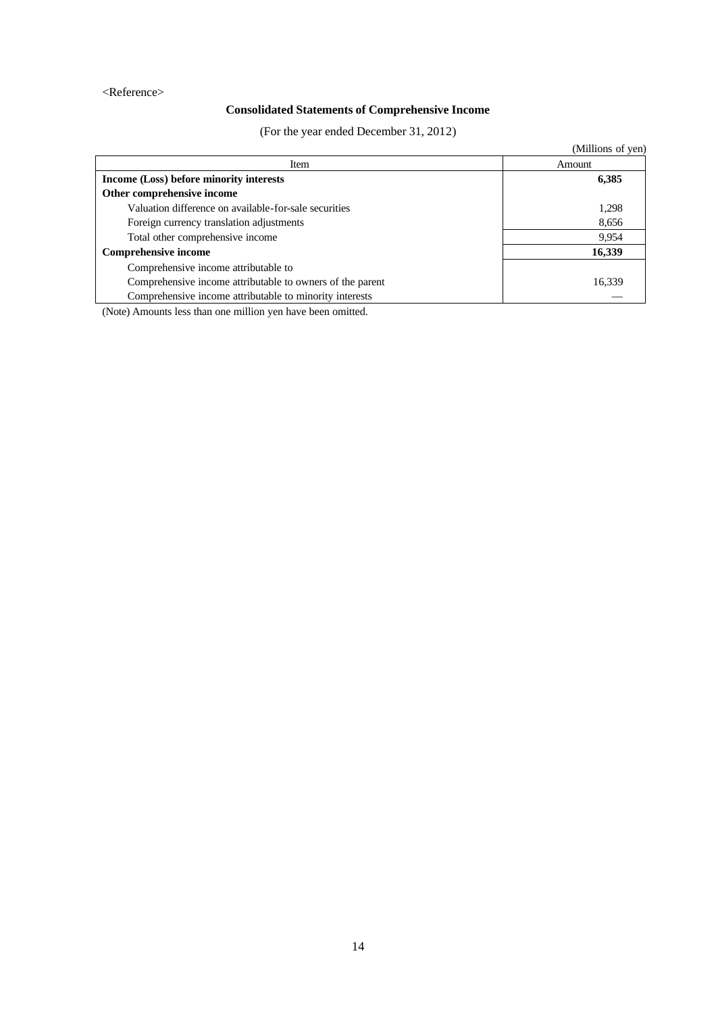### <Reference>

# **Consolidated Statements of Comprehensive Income**

(For the year ended December 31, 2012)

|                                                           | (Millions of yen) |
|-----------------------------------------------------------|-------------------|
| Item                                                      | Amount            |
| Income (Loss) before minority interests                   | 6,385             |
| Other comprehensive income                                |                   |
| Valuation difference on available-for-sale securities     | 1,298             |
| Foreign currency translation adjustments                  | 8,656             |
| Total other comprehensive income                          | 9,954             |
| <b>Comprehensive income</b>                               | 16,339            |
| Comprehensive income attributable to                      |                   |
| Comprehensive income attributable to owners of the parent | 16,339            |
| Comprehensive income attributable to minority interests   |                   |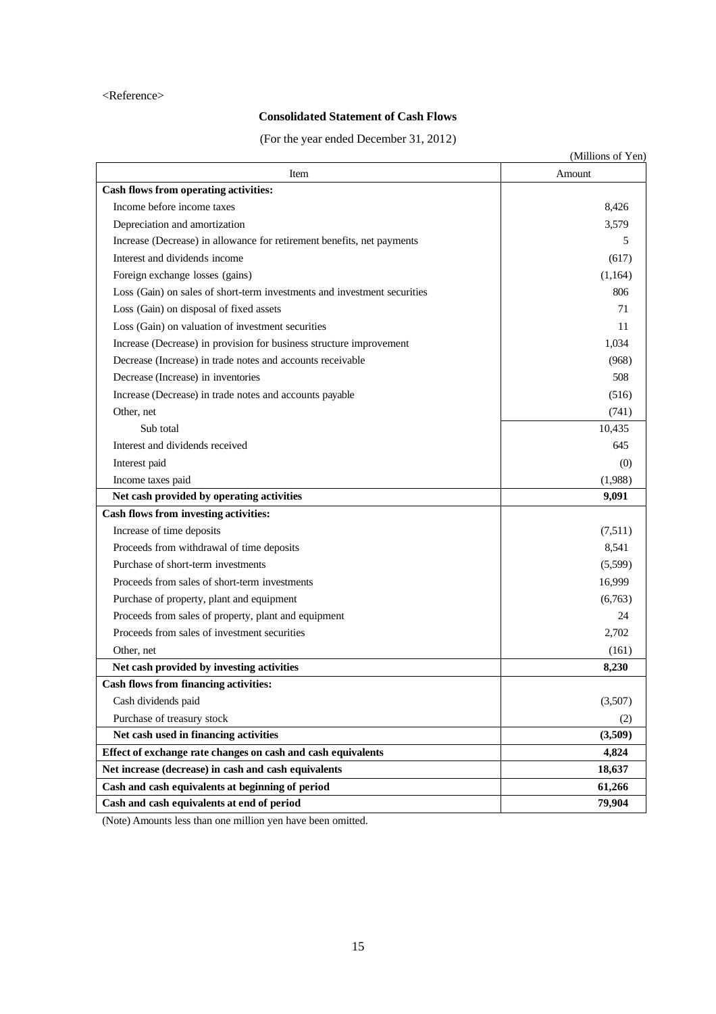### <Reference>

# **Consolidated Statement of Cash Flows**

(For the year ended December 31, 2012)

|                                                                          | (Millions of Yen) |
|--------------------------------------------------------------------------|-------------------|
| Item                                                                     | Amount            |
| Cash flows from operating activities:                                    |                   |
| Income before income taxes                                               | 8,426             |
| Depreciation and amortization                                            | 3,579             |
| Increase (Decrease) in allowance for retirement benefits, net payments   | 5                 |
| Interest and dividends income                                            | (617)             |
| Foreign exchange losses (gains)                                          | (1,164)           |
| Loss (Gain) on sales of short-term investments and investment securities | 806               |
| Loss (Gain) on disposal of fixed assets                                  | 71                |
| Loss (Gain) on valuation of investment securities                        | 11                |
| Increase (Decrease) in provision for business structure improvement      | 1,034             |
| Decrease (Increase) in trade notes and accounts receivable               | (968)             |
| Decrease (Increase) in inventories                                       | 508               |
| Increase (Decrease) in trade notes and accounts payable                  | (516)             |
| Other, net                                                               | (741)             |
| Sub total                                                                | 10,435            |
| Interest and dividends received                                          | 645               |
| Interest paid                                                            | (0)               |
| Income taxes paid                                                        | (1,988)           |
| Net cash provided by operating activities                                | 9,091             |
| Cash flows from investing activities:                                    |                   |
| Increase of time deposits                                                | (7,511)           |
| Proceeds from withdrawal of time deposits                                | 8,541             |
| Purchase of short-term investments                                       | (5,599)           |
| Proceeds from sales of short-term investments                            | 16,999            |
| Purchase of property, plant and equipment                                | (6,763)           |
| Proceeds from sales of property, plant and equipment                     | 24                |
| Proceeds from sales of investment securities                             | 2,702             |
| Other, net                                                               | (161)             |
| Net cash provided by investing activities                                | 8,230             |
| Cash flows from financing activities:                                    |                   |
| Cash dividends paid                                                      | (3,507)           |
| Purchase of treasury stock                                               | (2)               |
| Net cash used in financing activities                                    | (3,509)           |
| Effect of exchange rate changes on cash and cash equivalents             | 4,824             |
| Net increase (decrease) in cash and cash equivalents                     | 18,637            |
| Cash and cash equivalents at beginning of period                         | 61,266            |
| Cash and cash equivalents at end of period                               | 79,904            |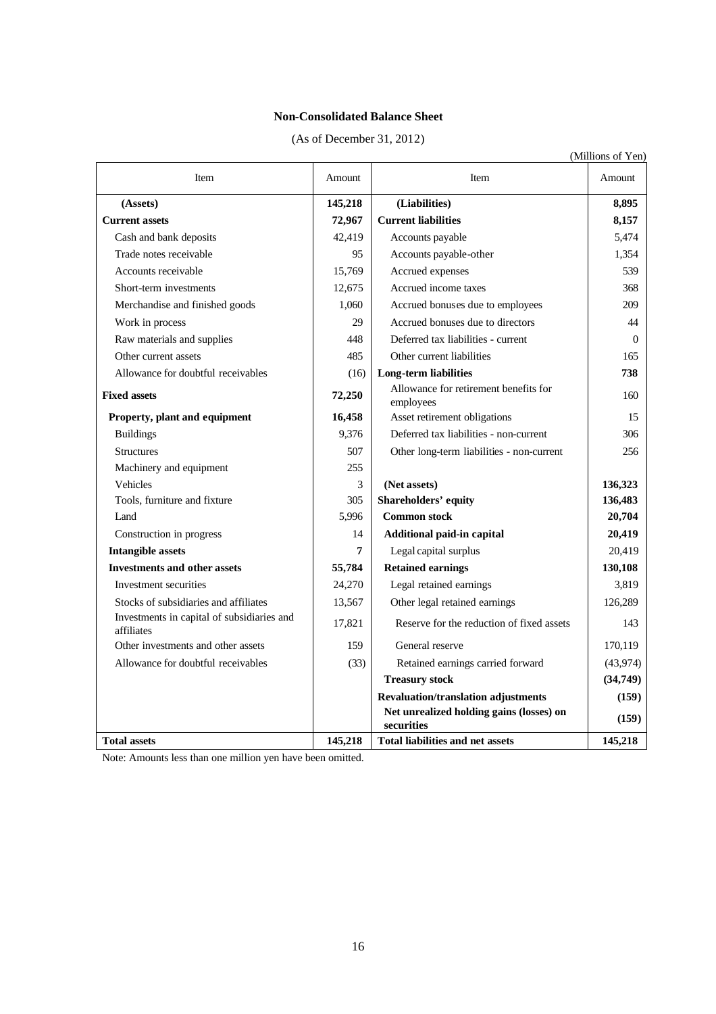# **Non-Consolidated Balance Sheet**

| (As of December 31, 2012) |  |  |  |
|---------------------------|--|--|--|
|---------------------------|--|--|--|

|                                                          |         |                                                        | (Millions of Yen) |
|----------------------------------------------------------|---------|--------------------------------------------------------|-------------------|
| Item                                                     | Amount  | Item                                                   | Amount            |
| (Assets)                                                 | 145,218 | (Liabilities)                                          | 8,895             |
| <b>Current assets</b>                                    | 72,967  | <b>Current liabilities</b>                             | 8,157             |
| Cash and bank deposits                                   | 42,419  | Accounts payable                                       | 5,474             |
| Trade notes receivable                                   | 95      | Accounts payable-other                                 | 1,354             |
| Accounts receivable                                      | 15,769  | Accrued expenses                                       | 539               |
| Short-term investments                                   | 12,675  | Accrued income taxes                                   | 368               |
| Merchandise and finished goods                           | 1,060   | Accrued bonuses due to employees                       | 209               |
| Work in process                                          | 29      | Accrued bonuses due to directors                       | 44                |
| Raw materials and supplies                               | 448     | Deferred tax liabilities - current                     | $\Omega$          |
| Other current assets                                     | 485     | Other current liabilities                              | 165               |
| Allowance for doubtful receivables                       | (16)    | Long-term liabilities                                  | 738               |
| <b>Fixed assets</b>                                      | 72,250  | Allowance for retirement benefits for<br>employees     | 160               |
| Property, plant and equipment                            | 16,458  | Asset retirement obligations                           | 15                |
| <b>Buildings</b>                                         | 9,376   | Deferred tax liabilities - non-current                 | 306               |
| <b>Structures</b>                                        | 507     | Other long-term liabilities - non-current              | 256               |
| Machinery and equipment                                  | 255     |                                                        |                   |
| Vehicles                                                 | 3       | (Net assets)                                           | 136,323           |
| Tools, furniture and fixture                             | 305     | Shareholders' equity                                   | 136,483           |
| Land                                                     | 5,996   | <b>Common stock</b>                                    | 20,704            |
| Construction in progress                                 | 14      | Additional paid-in capital                             | 20,419            |
| <b>Intangible assets</b>                                 | 7       | Legal capital surplus                                  | 20,419            |
| <b>Investments and other assets</b>                      | 55,784  | <b>Retained earnings</b>                               | 130,108           |
| Investment securities                                    | 24,270  | Legal retained earnings                                | 3,819             |
| Stocks of subsidiaries and affiliates                    | 13,567  | Other legal retained earnings                          | 126,289           |
| Investments in capital of subsidiaries and<br>affiliates | 17,821  | Reserve for the reduction of fixed assets              | 143               |
| Other investments and other assets                       | 159     | General reserve                                        | 170,119           |
| Allowance for doubtful receivables                       | (33)    | Retained earnings carried forward                      | (43, 974)         |
|                                                          |         | <b>Treasury stock</b>                                  | (34,749)          |
|                                                          |         | <b>Revaluation/translation adjustments</b>             | (159)             |
|                                                          |         | Net unrealized holding gains (losses) on<br>securities | (159)             |
| <b>Total assets</b>                                      | 145,218 | <b>Total liabilities and net assets</b>                | 145,218           |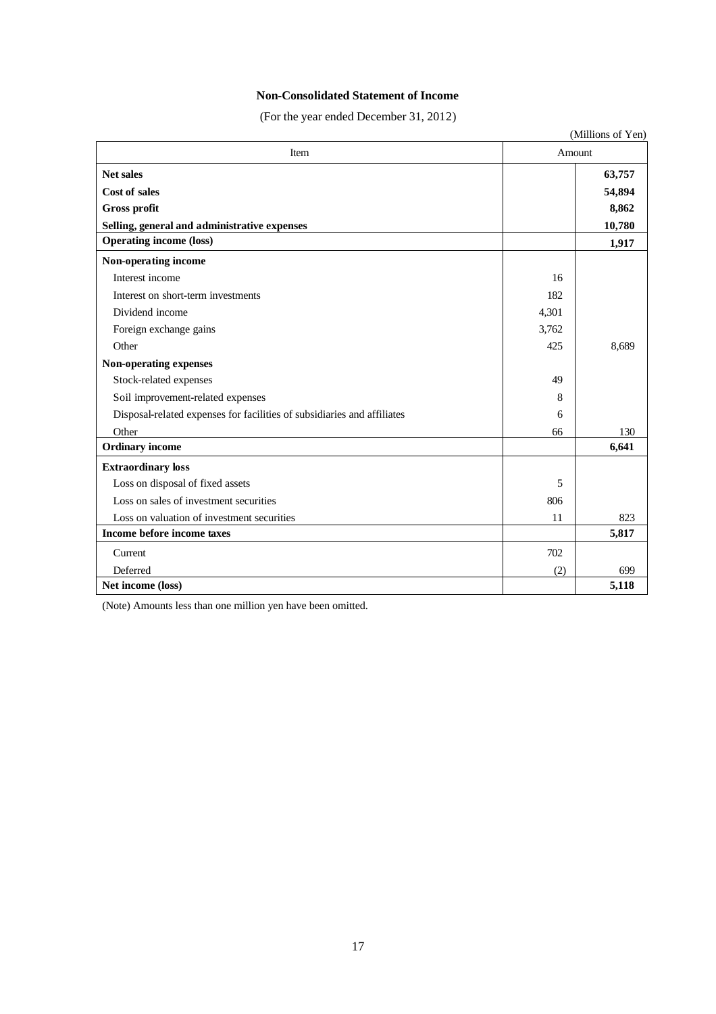## **Non-Consolidated Statement of Income**

(For the year ended December 31, 2012)

|                                                                         |        | (Millions of Yen) |
|-------------------------------------------------------------------------|--------|-------------------|
| Item                                                                    | Amount |                   |
| <b>Net sales</b>                                                        |        | 63,757            |
| <b>Cost of sales</b>                                                    |        | 54,894            |
| Gross profit                                                            |        | 8,862             |
| Selling, general and administrative expenses                            |        | 10,780            |
| <b>Operating income (loss)</b>                                          |        | 1,917             |
| Non-operating income                                                    |        |                   |
| Interest income                                                         | 16     |                   |
| Interest on short-term investments                                      | 182    |                   |
| Dividend income                                                         | 4,301  |                   |
| Foreign exchange gains                                                  | 3,762  |                   |
| Other                                                                   | 425    | 8,689             |
| Non-operating expenses                                                  |        |                   |
| Stock-related expenses                                                  | 49     |                   |
| Soil improvement-related expenses                                       | 8      |                   |
| Disposal-related expenses for facilities of subsidiaries and affiliates | 6      |                   |
| Other                                                                   | 66     | 130               |
| <b>Ordinary</b> income                                                  |        | 6,641             |
| <b>Extraordinary loss</b>                                               |        |                   |
| Loss on disposal of fixed assets                                        | 5      |                   |
| Loss on sales of investment securities                                  | 806    |                   |
| Loss on valuation of investment securities                              | 11     | 823               |
| Income before income taxes                                              |        | 5,817             |
| Current                                                                 | 702    |                   |
| Deferred                                                                | (2)    | 699               |
| Net income (loss)                                                       |        | 5,118             |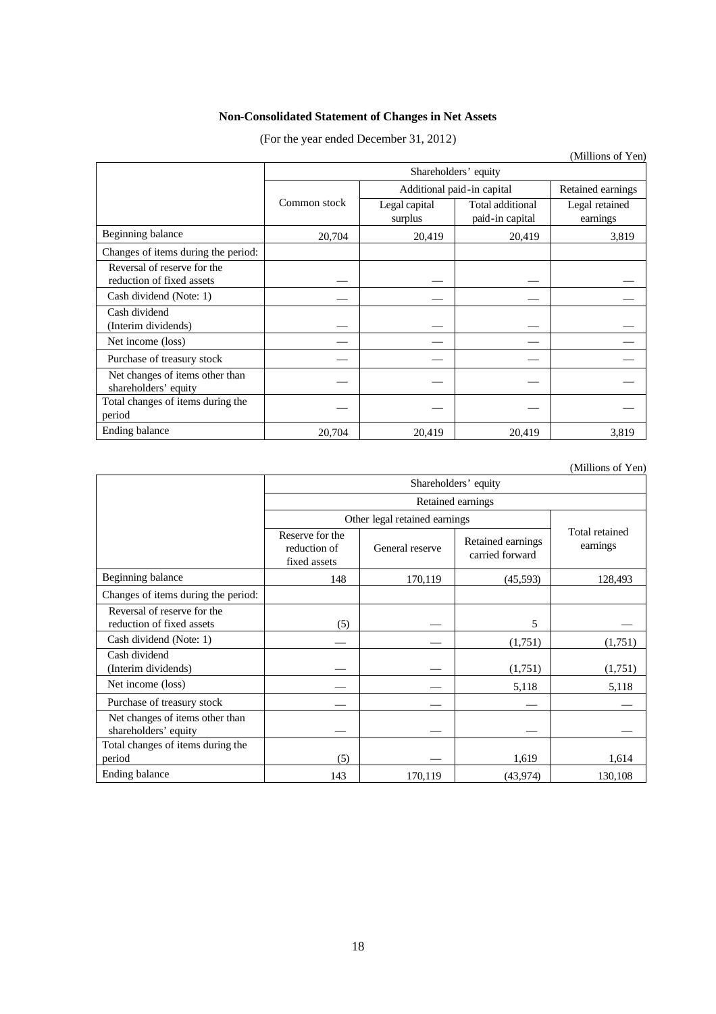# **Non-Consolidated Statement of Changes in Net Assets**

(For the year ended December 31, 2012)

|                                                          |              |                                                 |                                     | (Millions of Yen)          |  |
|----------------------------------------------------------|--------------|-------------------------------------------------|-------------------------------------|----------------------------|--|
|                                                          |              |                                                 |                                     |                            |  |
|                                                          |              | Additional paid-in capital<br>Retained earnings |                                     |                            |  |
|                                                          | Common stock | Legal capital<br>surplus                        | Total additional<br>paid-in capital | Legal retained<br>earnings |  |
| Beginning balance                                        | 20,704       | 20,419                                          | 20,419                              | 3,819                      |  |
| Changes of items during the period:                      |              |                                                 |                                     |                            |  |
| Reversal of reserve for the<br>reduction of fixed assets |              |                                                 |                                     |                            |  |
| Cash dividend (Note: 1)                                  |              |                                                 |                                     |                            |  |
| Cash dividend<br>(Interim dividends)                     |              |                                                 |                                     |                            |  |
| Net income (loss)                                        |              |                                                 |                                     |                            |  |
| Purchase of treasury stock                               |              |                                                 |                                     |                            |  |
| Net changes of items other than<br>shareholders' equity  |              |                                                 |                                     |                            |  |
| Total changes of items during the<br>period              |              |                                                 |                                     |                            |  |
| Ending balance                                           | 20,704       | 20,419                                          | 20,419                              | 3,819                      |  |

(Millions of Yen)

|                                                          | Shareholders' equity                            |                 |                                      |                            |  |  |
|----------------------------------------------------------|-------------------------------------------------|-----------------|--------------------------------------|----------------------------|--|--|
|                                                          | Retained earnings                               |                 |                                      |                            |  |  |
|                                                          | Other legal retained earnings                   |                 |                                      |                            |  |  |
|                                                          | Reserve for the<br>reduction of<br>fixed assets | General reserve | Retained earnings<br>carried forward | Total retained<br>earnings |  |  |
| Beginning balance                                        | 148                                             | 170,119         | (45,593)                             | 128,493                    |  |  |
| Changes of items during the period:                      |                                                 |                 |                                      |                            |  |  |
| Reversal of reserve for the<br>reduction of fixed assets | (5)                                             |                 | 5                                    |                            |  |  |
| Cash dividend (Note: 1)                                  |                                                 |                 | (1,751)                              | (1,751)                    |  |  |
| Cash dividend<br>(Interim dividends)                     |                                                 |                 | (1,751)                              | (1,751)                    |  |  |
| Net income (loss)                                        |                                                 |                 | 5,118                                | 5,118                      |  |  |
| Purchase of treasury stock                               |                                                 |                 |                                      |                            |  |  |
| Net changes of items other than<br>shareholders' equity  |                                                 |                 |                                      |                            |  |  |
| Total changes of items during the<br>period              | (5)                                             |                 | 1,619                                | 1,614                      |  |  |
| Ending balance                                           | 143                                             | 170,119         | (43, 974)                            | 130,108                    |  |  |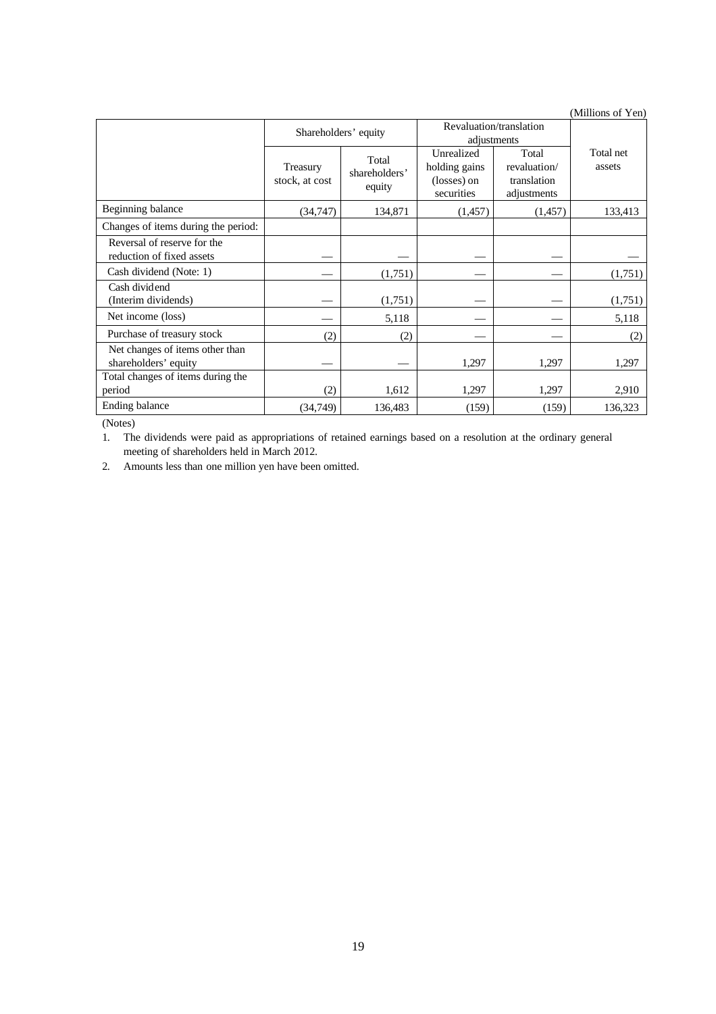|                                                          |                            |                                  |                                                          |                                                     | (TATHHOHO OL T CH   |
|----------------------------------------------------------|----------------------------|----------------------------------|----------------------------------------------------------|-----------------------------------------------------|---------------------|
|                                                          | Shareholders' equity       |                                  | Revaluation/translation<br>adjustments                   |                                                     |                     |
|                                                          | Treasury<br>stock, at cost | Total<br>shareholders'<br>equity | Unrealized<br>holding gains<br>(losses) on<br>securities | Total<br>revaluation/<br>translation<br>adjustments | Total net<br>assets |
| Beginning balance                                        | (34, 747)                  | 134,871                          | (1,457)                                                  | (1,457)                                             | 133,413             |
| Changes of items during the period:                      |                            |                                  |                                                          |                                                     |                     |
| Reversal of reserve for the<br>reduction of fixed assets |                            |                                  |                                                          |                                                     |                     |
| Cash dividend (Note: 1)                                  |                            | (1,751)                          |                                                          |                                                     | (1,751)             |
| Cash dividend<br>(Interim dividends)                     |                            | (1,751)                          |                                                          |                                                     | (1,751)             |
| Net income (loss)                                        |                            | 5,118                            |                                                          |                                                     | 5,118               |
| Purchase of treasury stock                               | (2)                        | (2)                              |                                                          |                                                     | (2)                 |
| Net changes of items other than<br>shareholders' equity  |                            |                                  | 1,297                                                    | 1,297                                               | 1,297               |
| Total changes of items during the<br>period              | (2)                        | 1,612                            | 1,297                                                    | 1,297                                               | 2,910               |
| Ending balance                                           | (34, 749)                  | 136,483                          | (159)                                                    | (159)                                               | 136,323             |

(Notes)

1. The dividends were paid as appropriations of retained earnings based on a resolution at the ordinary general meeting of shareholders held in March 2012.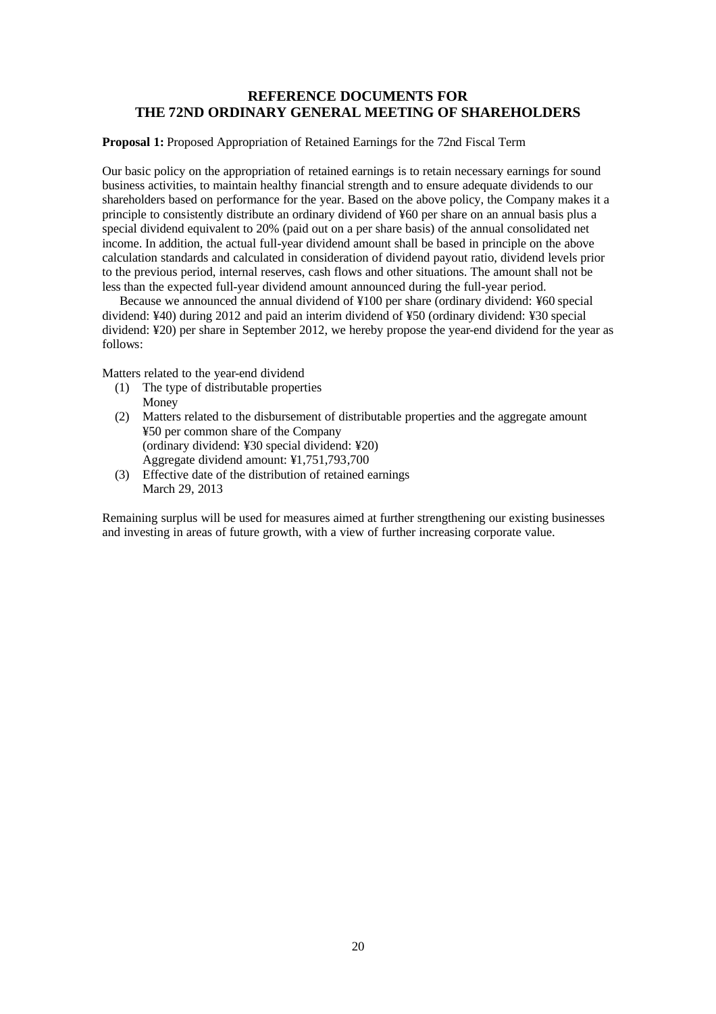# **REFERENCE DOCUMENTS FOR THE 72ND ORDINARY GENERAL MEETING OF SHAREHOLDERS**

### **Proposal 1:** Proposed Appropriation of Retained Earnings for the 72nd Fiscal Term

Our basic policy on the appropriation of retained earnings is to retain necessary earnings for sound business activities, to maintain healthy financial strength and to ensure adequate dividends to our shareholders based on performance for the year. Based on the above policy, the Company makes it a principle to consistently distribute an ordinary dividend of ¥60 per share on an annual basis plus a special dividend equivalent to 20% (paid out on a per share basis) of the annual consolidated net income. In addition, the actual full-year dividend amount shall be based in principle on the above calculation standards and calculated in consideration of dividend payout ratio, dividend levels prior to the previous period, internal reserves, cash flows and other situations. The amount shall not be less than the expected full-year dividend amount announced during the full-year period.

Because we announced the annual dividend of ¥100 per share (ordinary dividend: ¥60 special dividend: ¥40) during 2012 and paid an interim dividend of ¥50 (ordinary dividend: ¥30 special dividend: ¥20) per share in September 2012, we hereby propose the year-end dividend for the year as follows:

Matters related to the year-end dividend

- (1) The type of distributable properties Money
- (2) Matters related to the disbursement of distributable properties and the aggregate amount ¥50 per common share of the Company (ordinary dividend: ¥30 special dividend: ¥20) Aggregate dividend amount: ¥1,751,793,700
- (3) Effective date of the distribution of retained earnings March 29, 2013

Remaining surplus will be used for measures aimed at further strengthening our existing businesses and investing in areas of future growth, with a view of further increasing corporate value.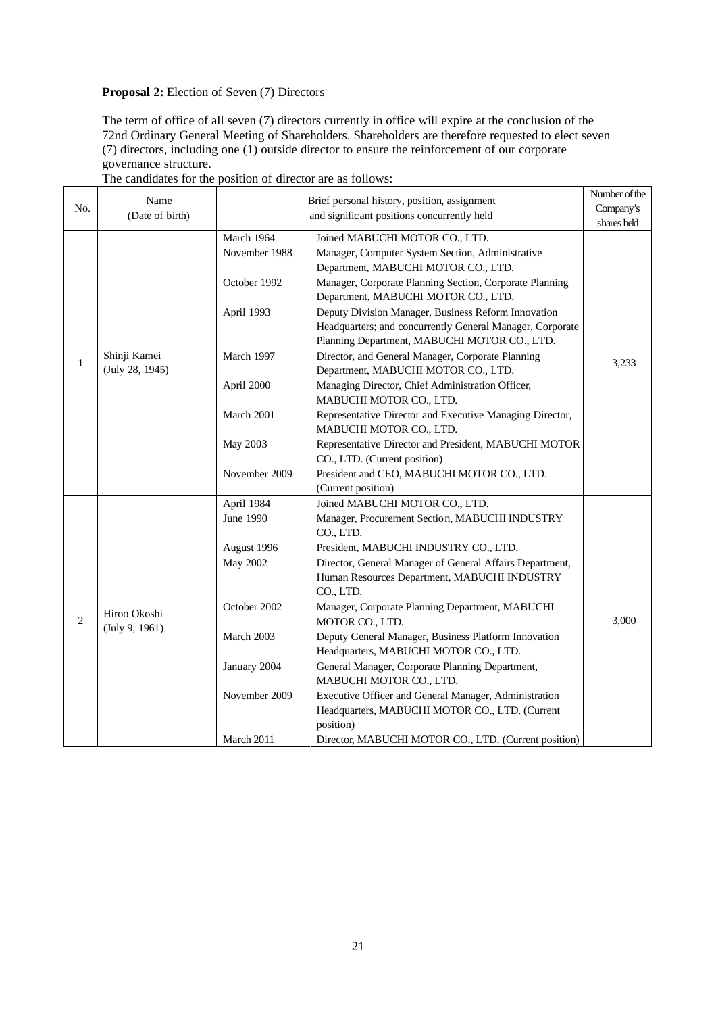# **Proposal 2:** Election of Seven (7) Directors

The term of office of all seven (7) directors currently in office will expire at the conclusion of the 72nd Ordinary General Meeting of Shareholders. Shareholders are therefore requested to elect seven (7) directors, including one (1) outside director to ensure the reinforcement of our corporate governance structure.

|                | Name            |                                             | Brief personal history, position, assignment                                       | Number of the |
|----------------|-----------------|---------------------------------------------|------------------------------------------------------------------------------------|---------------|
| No.            | (Date of birth) | and significant positions concurrently held |                                                                                    | Company's     |
|                |                 |                                             |                                                                                    | shares held   |
|                |                 | March 1964<br>November 1988                 | Joined MABUCHI MOTOR CO., LTD.<br>Manager, Computer System Section, Administrative |               |
|                |                 |                                             | Department, MABUCHI MOTOR CO., LTD.                                                |               |
|                |                 | October 1992                                | Manager, Corporate Planning Section, Corporate Planning                            |               |
|                |                 |                                             | Department, MABUCHI MOTOR CO., LTD.                                                |               |
|                |                 | April 1993                                  | Deputy Division Manager, Business Reform Innovation                                |               |
|                |                 |                                             | Headquarters; and concurrently General Manager, Corporate                          |               |
|                |                 |                                             | Planning Department, MABUCHI MOTOR CO., LTD.                                       |               |
| $\mathbf{1}$   | Shinji Kamei    | March 1997                                  | Director, and General Manager, Corporate Planning                                  | 3,233         |
|                | (July 28, 1945) |                                             | Department, MABUCHI MOTOR CO., LTD.                                                |               |
|                |                 | April 2000                                  | Managing Director, Chief Administration Officer,                                   |               |
|                |                 |                                             | MABUCHI MOTOR CO., LTD.                                                            |               |
|                |                 | March 2001                                  | Representative Director and Executive Managing Director,                           |               |
|                |                 |                                             | MABUCHI MOTOR CO., LTD.                                                            |               |
|                |                 | <b>May 2003</b>                             | Representative Director and President, MABUCHI MOTOR                               |               |
|                |                 |                                             | CO., LTD. (Current position)                                                       |               |
|                |                 | November 2009                               | President and CEO, MABUCHI MOTOR CO., LTD.                                         |               |
|                |                 |                                             | (Current position)                                                                 |               |
|                |                 | April 1984                                  | Joined MABUCHI MOTOR CO., LTD.                                                     |               |
|                |                 | June 1990                                   | Manager, Procurement Section, MABUCHI INDUSTRY<br>CO., LTD.                        |               |
|                |                 | August 1996                                 | President, MABUCHI INDUSTRY CO., LTD.                                              |               |
|                |                 | May 2002                                    | Director, General Manager of General Affairs Department,                           |               |
|                |                 |                                             | Human Resources Department, MABUCHI INDUSTRY                                       |               |
|                |                 |                                             | CO., LTD.                                                                          |               |
| $\overline{c}$ | Hiroo Okoshi    | October 2002                                | Manager, Corporate Planning Department, MABUCHI<br>MOTOR CO., LTD.                 | 3,000         |
|                | (July 9, 1961)  | March 2003                                  | Deputy General Manager, Business Platform Innovation                               |               |
|                |                 |                                             | Headquarters, MABUCHI MOTOR CO., LTD.                                              |               |
|                |                 | January 2004                                | General Manager, Corporate Planning Department,<br>MABUCHI MOTOR CO., LTD.         |               |
|                |                 | November 2009                               | Executive Officer and General Manager, Administration                              |               |
|                |                 |                                             | Headquarters, MABUCHI MOTOR CO., LTD. (Current                                     |               |
|                |                 |                                             | position)                                                                          |               |
|                |                 | March 2011                                  | Director, MABUCHI MOTOR CO., LTD. (Current position)                               |               |

## The candidates for the position of director are as follows: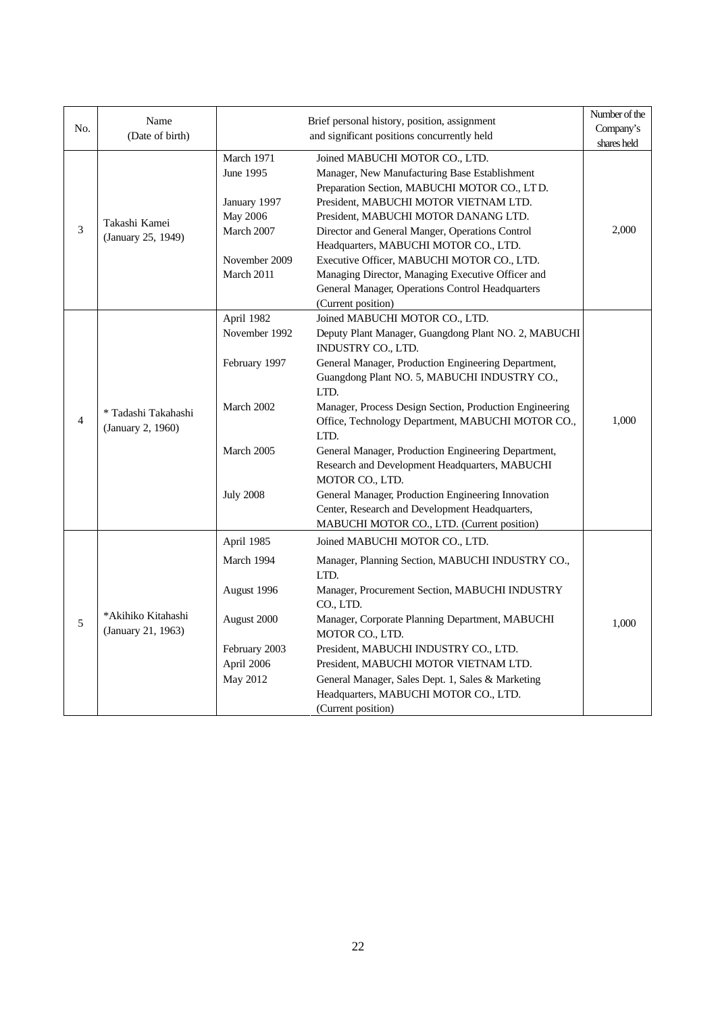| No.            | Name                                     | Brief personal history, position, assignment                                                            |                                                                                                                                                                                                                                                                                                                                                                                                                                                                                                                                                                                                                                       | Number of the<br>Company's |
|----------------|------------------------------------------|---------------------------------------------------------------------------------------------------------|---------------------------------------------------------------------------------------------------------------------------------------------------------------------------------------------------------------------------------------------------------------------------------------------------------------------------------------------------------------------------------------------------------------------------------------------------------------------------------------------------------------------------------------------------------------------------------------------------------------------------------------|----------------------------|
|                | (Date of birth)                          |                                                                                                         | and significant positions concurrently held                                                                                                                                                                                                                                                                                                                                                                                                                                                                                                                                                                                           | shares held                |
| 3              | Takashi Kamei<br>(January 25, 1949)      | March 1971<br>June 1995<br>January 1997<br><b>May 2006</b><br>March 2007<br>November 2009<br>March 2011 | Joined MABUCHI MOTOR CO., LTD.<br>Manager, New Manufacturing Base Establishment<br>Preparation Section, MABUCHI MOTOR CO., LTD.<br>President, MABUCHI MOTOR VIETNAM LTD.<br>President, MABUCHI MOTOR DANANG LTD.<br>Director and General Manger, Operations Control<br>Headquarters, MABUCHI MOTOR CO., LTD.<br>Executive Officer, MABUCHI MOTOR CO., LTD.<br>Managing Director, Managing Executive Officer and<br>General Manager, Operations Control Headquarters<br>(Current position)                                                                                                                                             | 2,000                      |
| $\overline{4}$ | * Tadashi Takahashi<br>(January 2, 1960) | April 1982<br>November 1992<br>February 1997<br>March 2002<br>March 2005<br><b>July 2008</b>            | Joined MABUCHI MOTOR CO., LTD.<br>Deputy Plant Manager, Guangdong Plant NO. 2, MABUCHI<br>INDUSTRY CO., LTD.<br>General Manager, Production Engineering Department,<br>Guangdong Plant NO. 5, MABUCHI INDUSTRY CO.,<br>LTD.<br>Manager, Process Design Section, Production Engineering<br>Office, Technology Department, MABUCHI MOTOR CO.,<br>LTD.<br>General Manager, Production Engineering Department,<br>Research and Development Headquarters, MABUCHI<br>MOTOR CO., LTD.<br>General Manager, Production Engineering Innovation<br>Center, Research and Development Headquarters,<br>MABUCHI MOTOR CO., LTD. (Current position) | 1,000                      |
| 5              | *Akihiko Kitahashi<br>(January 21, 1963) | April 1985<br>March 1994<br>August 1996<br>August 2000<br>February 2003<br>April 2006<br>May 2012       | Joined MABUCHI MOTOR CO., LTD.<br>Manager, Planning Section, MABUCHI INDUSTRY CO.,<br>LTD.<br>Manager, Procurement Section, MABUCHI INDUSTRY<br>CO., LTD.<br>Manager, Corporate Planning Department, MABUCHI<br>MOTOR CO., LTD.<br>President, MABUCHI INDUSTRY CO., LTD.<br>President, MABUCHI MOTOR VIETNAM LTD.<br>General Manager, Sales Dept. 1, Sales & Marketing<br>Headquarters, MABUCHI MOTOR CO., LTD.<br>(Current position)                                                                                                                                                                                                 | 1,000                      |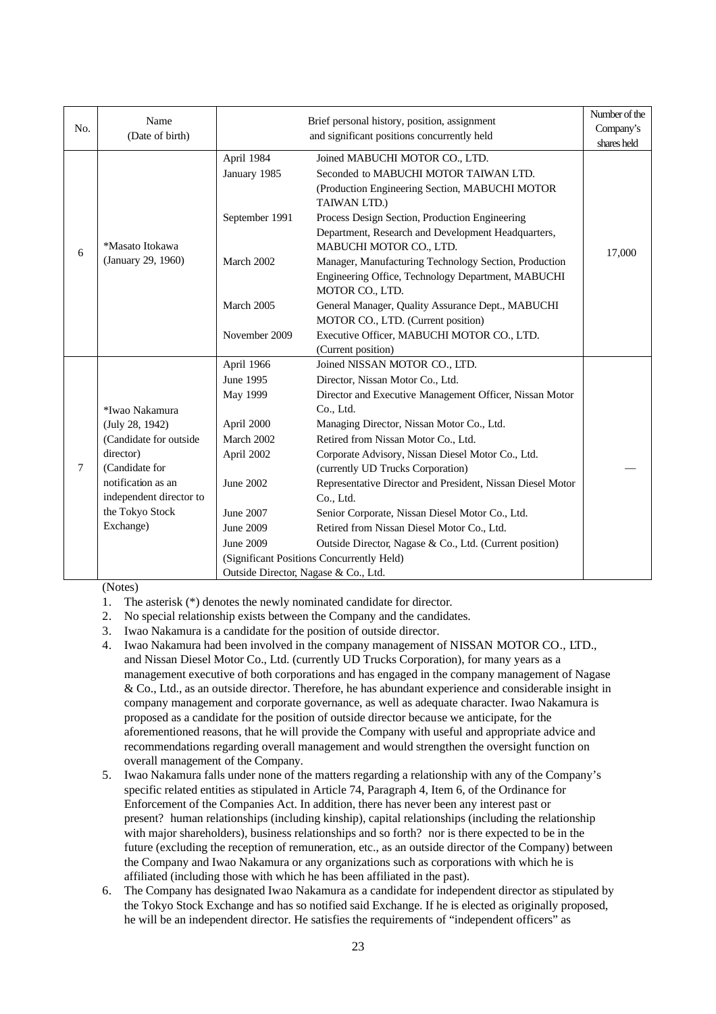| No.    | Name<br>(Date of birth)                                                                                                                                                     | Brief personal history, position, assignment<br>and significant positions concurrently held                                       |                                                                                                                                                                                                                                                                                                                                                                                                                                                                                                                                                                                                             | Number of the<br>Company's<br>shares held |
|--------|-----------------------------------------------------------------------------------------------------------------------------------------------------------------------------|-----------------------------------------------------------------------------------------------------------------------------------|-------------------------------------------------------------------------------------------------------------------------------------------------------------------------------------------------------------------------------------------------------------------------------------------------------------------------------------------------------------------------------------------------------------------------------------------------------------------------------------------------------------------------------------------------------------------------------------------------------------|-------------------------------------------|
| 6      | *Masato Itokawa<br>(January 29, 1960)                                                                                                                                       | April 1984<br>January 1985<br>September 1991                                                                                      | Joined MABUCHI MOTOR CO., LTD.<br>Seconded to MABUCHI MOTOR TAIWAN LTD.<br>(Production Engineering Section, MABUCHI MOTOR<br>TAIWAN LTD.)<br>Process Design Section, Production Engineering                                                                                                                                                                                                                                                                                                                                                                                                                 | 17,000                                    |
|        |                                                                                                                                                                             | March 2002                                                                                                                        | Department, Research and Development Headquarters,<br>MABUCHI MOTOR CO., LTD.<br>Manager, Manufacturing Technology Section, Production                                                                                                                                                                                                                                                                                                                                                                                                                                                                      |                                           |
|        |                                                                                                                                                                             | March 2005                                                                                                                        | Engineering Office, Technology Department, MABUCHI<br>MOTOR CO., LTD.<br>General Manager, Quality Assurance Dept., MABUCHI                                                                                                                                                                                                                                                                                                                                                                                                                                                                                  |                                           |
|        |                                                                                                                                                                             | November 2009                                                                                                                     | MOTOR CO., LTD. (Current position)<br>Executive Officer, MABUCHI MOTOR CO., LTD.<br>(Current position)                                                                                                                                                                                                                                                                                                                                                                                                                                                                                                      |                                           |
| $\tau$ | *Iwao Nakamura<br>(July 28, 1942)<br>(Candidate for outside<br>director)<br>(Candidate for<br>notification as an<br>independent director to<br>the Tokyo Stock<br>Exchange) | April 1966<br>June 1995<br>May 1999<br>April 2000<br>March 2002<br>April 2002<br>June 2002<br>June 2007<br>June 2009<br>June 2009 | Joined NISSAN MOTOR CO., LTD.<br>Director, Nissan Motor Co., Ltd.<br>Director and Executive Management Officer, Nissan Motor<br>Co., Ltd.<br>Managing Director, Nissan Motor Co., Ltd.<br>Retired from Nissan Motor Co., Ltd.<br>Corporate Advisory, Nissan Diesel Motor Co., Ltd.<br>(currently UD Trucks Corporation)<br>Representative Director and President, Nissan Diesel Motor<br>Co., Ltd.<br>Senior Corporate, Nissan Diesel Motor Co., Ltd.<br>Retired from Nissan Diesel Motor Co., Ltd.<br>Outside Director, Nagase & Co., Ltd. (Current position)<br>(Significant Positions Concurrently Held) |                                           |
|        |                                                                                                                                                                             |                                                                                                                                   | Outside Director, Nagase & Co., Ltd.                                                                                                                                                                                                                                                                                                                                                                                                                                                                                                                                                                        |                                           |

(Notes)

- 1. The asterisk (\*) denotes the newly nominated candidate for director.
- 2. No special relationship exists between the Company and the candidates.
- 3. Iwao Nakamura is a candidate for the position of outside director.
- 4. Iwao Nakamura had been involved in the company management of NISSAN MOTOR CO., LTD., and Nissan Diesel Motor Co., Ltd. (currently UD Trucks Corporation), for many years as a management executive of both corporations and has engaged in the company management of Nagase & Co., Ltd., as an outside director. Therefore, he has abundant experience and considerable insight in company management and corporate governance, as well as adequate character. Iwao Nakamura is proposed as a candidate for the position of outside director because we anticipate, for the aforementioned reasons, that he will provide the Company with useful and appropriate advice and recommendations regarding overall management and would strengthen the oversight function on overall management of the Company.
- 5. Iwao Nakamura falls under none of the matters regarding a relationship with any of the Company's specific related entities as stipulated in Article 74, Paragraph 4, Item 6, of the Ordinance for Enforcement of the Companies Act. In addition, there has never been any interest past or present? human relationships (including kinship), capital relationships (including the relationship with major shareholders), business relationships and so forth? nor is there expected to be in the future (excluding the reception of remuneration, etc., as an outside director of the Company) between the Company and Iwao Nakamura or any organizations such as corporations with which he is affiliated (including those with which he has been affiliated in the past).
- 6. The Company has designated Iwao Nakamura as a candidate for independent director as stipulated by the Tokyo Stock Exchange and has so notified said Exchange. If he is elected as originally proposed, he will be an independent director. He satisfies the requirements of "independent officers" as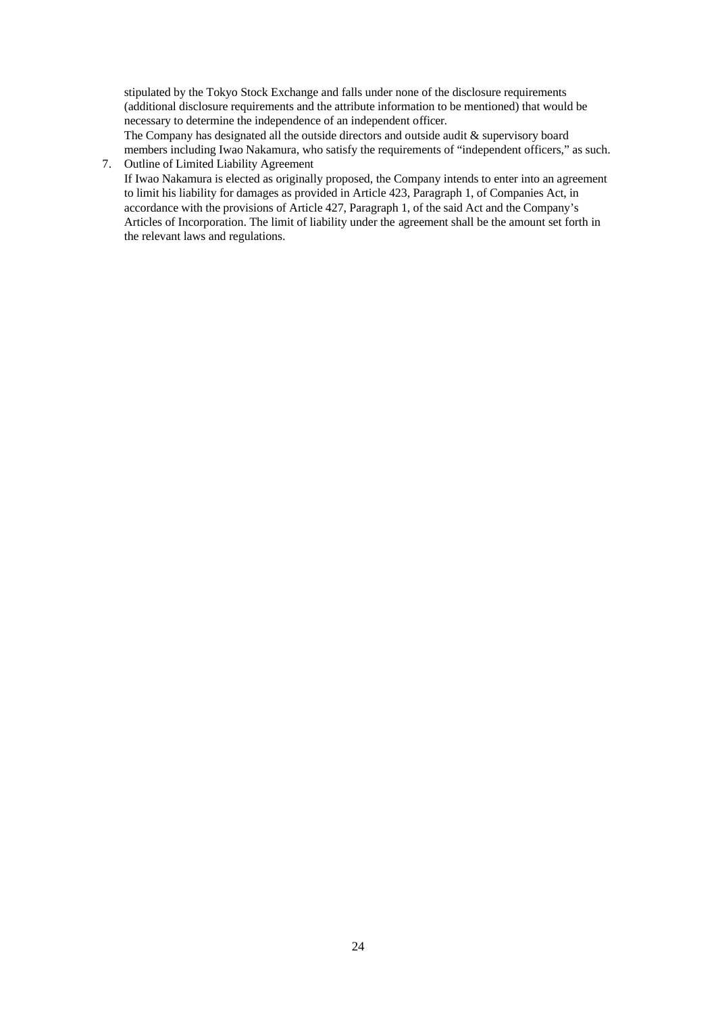stipulated by the Tokyo Stock Exchange and falls under none of the disclosure requirements (additional disclosure requirements and the attribute information to be mentioned) that would be necessary to determine the independence of an independent officer.

The Company has designated all the outside directors and outside audit & supervisory board members including Iwao Nakamura, who satisfy the requirements of "independent officers," as such. 7. Outline of Limited Liability Agreement

If Iwao Nakamura is elected as originally proposed, the Company intends to enter into an agreement to limit his liability for damages as provided in Article 423, Paragraph 1, of Companies Act, in accordance with the provisions of Article 427, Paragraph 1, of the said Act and the Company's Articles of Incorporation. The limit of liability under the agreement shall be the amount set forth in the relevant laws and regulations.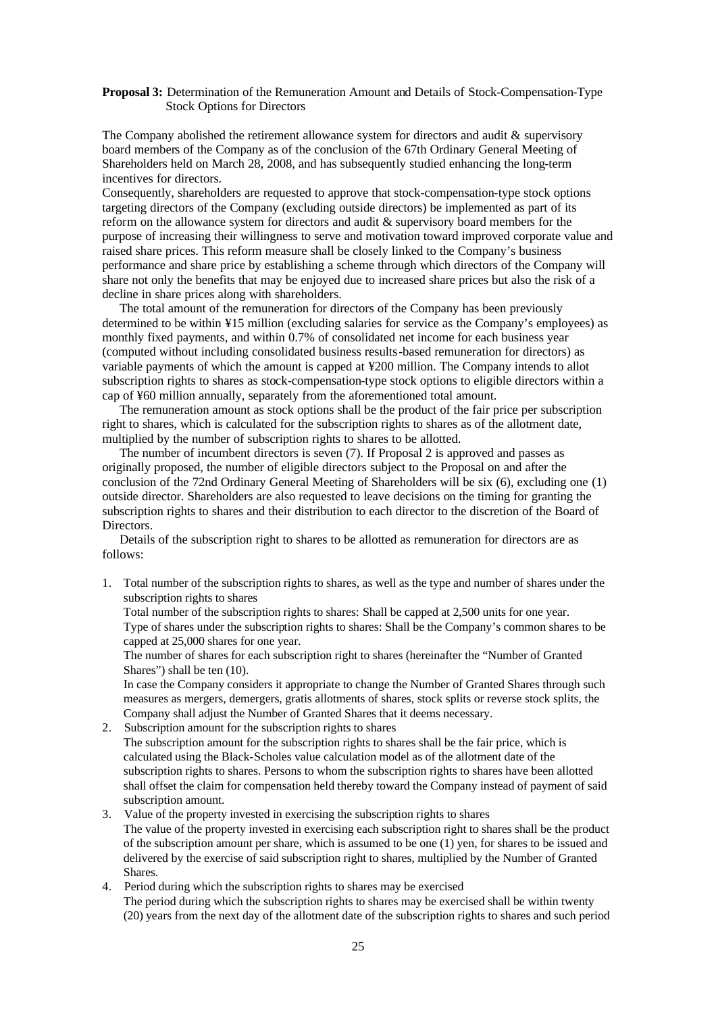### **Proposal 3:** Determination of the Remuneration Amount and Details of Stock-Compensation-Type Stock Options for Directors

The Company abolished the retirement allowance system for directors and audit & supervisory board members of the Company as of the conclusion of the 67th Ordinary General Meeting of Shareholders held on March 28, 2008, and has subsequently studied enhancing the long-term incentives for directors.

Consequently, shareholders are requested to approve that stock-compensation-type stock options targeting directors of the Company (excluding outside directors) be implemented as part of its reform on the allowance system for directors and audit & supervisory board members for the purpose of increasing their willingness to serve and motivation toward improved corporate value and raised share prices. This reform measure shall be closely linked to the Company's business performance and share price by establishing a scheme through which directors of the Company will share not only the benefits that may be enjoyed due to increased share prices but also the risk of a decline in share prices along with shareholders.

The total amount of the remuneration for directors of the Company has been previously determined to be within ¥15 million (excluding salaries for service as the Company's employees) as monthly fixed payments, and within 0.7% of consolidated net income for each business year (computed without including consolidated business results-based remuneration for directors) as variable payments of which the amount is capped at ¥200 million. The Company intends to allot subscription rights to shares as stock-compensation-type stock options to eligible directors within a cap of ¥60 million annually, separately from the aforementioned total amount.

The remuneration amount as stock options shall be the product of the fair price per subscription right to shares, which is calculated for the subscription rights to shares as of the allotment date, multiplied by the number of subscription rights to shares to be allotted.

The number of incumbent directors is seven (7). If Proposal 2 is approved and passes as originally proposed, the number of eligible directors subject to the Proposal on and after the conclusion of the 72nd Ordinary General Meeting of Shareholders will be six (6), excluding one (1) outside director. Shareholders are also requested to leave decisions on the timing for granting the subscription rights to shares and their distribution to each director to the discretion of the Board of Directors.

Details of the subscription right to shares to be allotted as remuneration for directors are as follows:

1. Total number of the subscription rights to shares, as well as the type and number of shares under the subscription rights to shares

Total number of the subscription rights to shares: Shall be capped at 2,500 units for one year. Type of shares under the subscription rights to shares: Shall be the Company's common shares to be capped at 25,000 shares for one year.

The number of shares for each subscription right to shares (hereinafter the "Number of Granted Shares") shall be ten (10).

In case the Company considers it appropriate to change the Number of Granted Shares through such measures as mergers, demergers, gratis allotments of shares, stock splits or reverse stock splits, the Company shall adjust the Number of Granted Shares that it deems necessary.

2. Subscription amount for the subscription rights to shares

The subscription amount for the subscription rights to shares shall be the fair price, which is calculated using the Black-Scholes value calculation model as of the allotment date of the subscription rights to shares. Persons to whom the subscription rights to shares have been allotted shall offset the claim for compensation held thereby toward the Company instead of payment of said subscription amount.

- 3. Value of the property invested in exercising the subscription rights to shares The value of the property invested in exercising each subscription right to shares shall be the product of the subscription amount per share, which is assumed to be one (1) yen, for shares to be issued and delivered by the exercise of said subscription right to shares, multiplied by the Number of Granted Shares.
- 4. Period during which the subscription rights to shares may be exercised The period during which the subscription rights to shares may be exercised shall be within twenty (20) years from the next day of the allotment date of the subscription rights to shares and such period